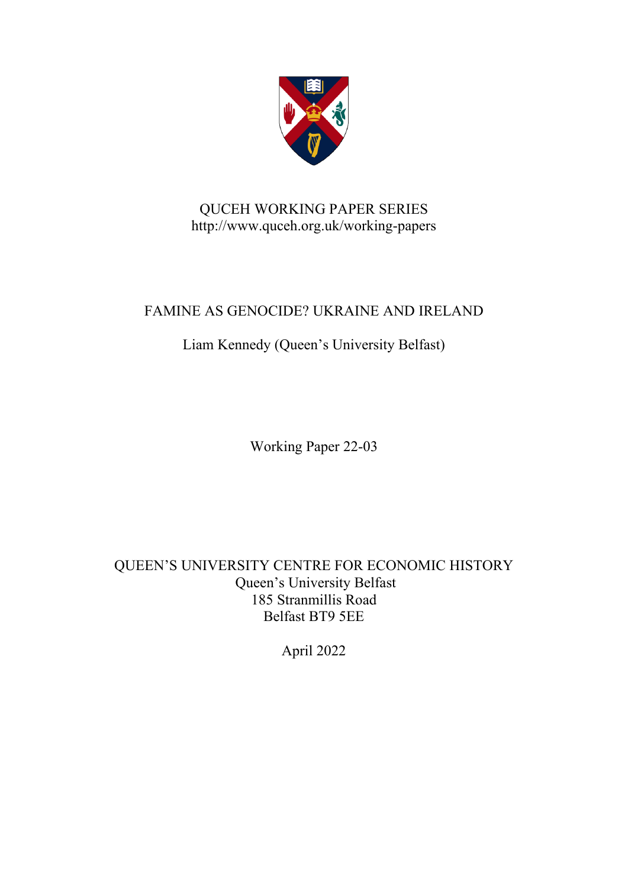

## QUCEH WORKING PAPER SERIES http://www.quceh.org.uk/working-papers

## FAMINE AS GENOCIDE? UKRAINE AND IRELAND

## Liam Kennedy (Queen's University Belfast)

Working Paper 22-03

QUEEN'S UNIVERSITY CENTRE FOR ECONOMIC HISTORY Queen's University Belfast 185 Stranmillis Road Belfast BT9 5EE

April 2022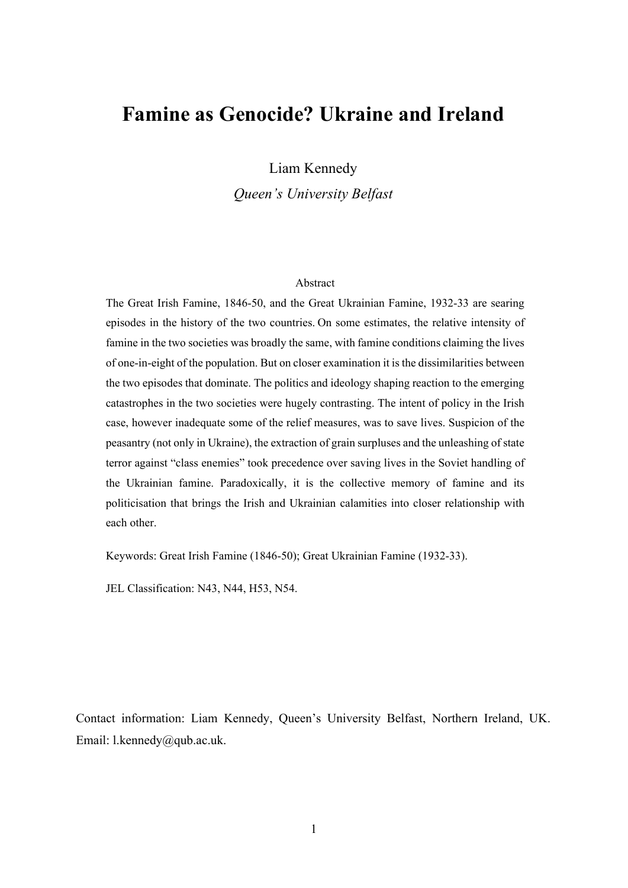# **Famine as Genocide? Ukraine and Ireland**

Liam Kennedy

*Queen's University Belfast*

### Abstract

The Great Irish Famine, 1846-50, and the Great Ukrainian Famine, 1932-33 are searing episodes in the history of the two countries. On some estimates, the relative intensity of famine in the two societies was broadly the same, with famine conditions claiming the lives of one-in-eight of the population. But on closer examination it is the dissimilarities between the two episodes that dominate. The politics and ideology shaping reaction to the emerging catastrophes in the two societies were hugely contrasting. The intent of policy in the Irish case, however inadequate some of the relief measures, was to save lives. Suspicion of the peasantry (not only in Ukraine), the extraction of grain surpluses and the unleashing of state terror against "class enemies" took precedence over saving lives in the Soviet handling of the Ukrainian famine. Paradoxically, it is the collective memory of famine and its politicisation that brings the Irish and Ukrainian calamities into closer relationship with each other.

Keywords: Great Irish Famine (1846-50); Great Ukrainian Famine (1932-33).

JEL Classification: N43, N44, H53, N54.

Contact information: Liam Kennedy, Queen's University Belfast, Northern Ireland, UK. Email: l.kennedy@qub.ac.uk.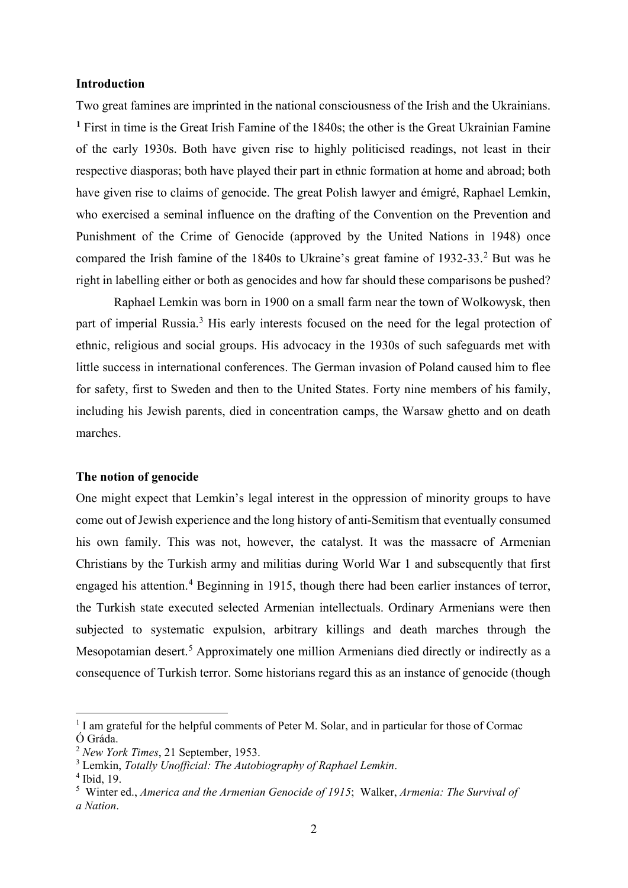## **Introduction**

Two great famines are imprinted in the national consciousness of the Irish and the Ukrainians. **[1](#page-2-0)** First in time is the Great Irish Famine of the 1840s; the other is the Great Ukrainian Famine of the early 1930s. Both have given rise to highly politicised readings, not least in their respective diasporas; both have played their part in ethnic formation at home and abroad; both have given rise to claims of genocide. The great Polish lawyer and émigré, Raphael Lemkin, who exercised a seminal influence on the drafting of the Convention on the Prevention and Punishment of the Crime of Genocide (approved by the United Nations in 1948) once compared the Irish famine of the 1840s to Ukraine's great famine of 193[2](#page-2-1)-33.<sup>2</sup> But was he right in labelling either or both as genocides and how far should these comparisons be pushed?

Raphael Lemkin was born in 1900 on a small farm near the town of Wolkowysk, then part of imperial Russia.<sup>[3](#page-2-2)</sup> His early interests focused on the need for the legal protection of ethnic, religious and social groups. His advocacy in the 1930s of such safeguards met with little success in international conferences. The German invasion of Poland caused him to flee for safety, first to Sweden and then to the United States. Forty nine members of his family, including his Jewish parents, died in concentration camps, the Warsaw ghetto and on death marches.

### **The notion of genocide**

One might expect that Lemkin's legal interest in the oppression of minority groups to have come out of Jewish experience and the long history of anti-Semitism that eventually consumed his own family. This was not, however, the catalyst. It was the massacre of Armenian Christians by the Turkish army and militias during World War 1 and subsequently that first engaged his attention.<sup>[4](#page-2-3)</sup> Beginning in 1915, though there had been earlier instances of terror, the Turkish state executed selected Armenian intellectuals. Ordinary Armenians were then subjected to systematic expulsion, arbitrary killings and death marches through the Mesopotamian desert.<sup>[5](#page-2-4)</sup> Approximately one million Armenians died directly or indirectly as a consequence of Turkish terror. Some historians regard this as an instance of genocide (though

<span id="page-2-0"></span><sup>&</sup>lt;sup>1</sup> I am grateful for the helpful comments of Peter M. Solar, and in particular for those of Cormac Ó Gráda.

<span id="page-2-1"></span><sup>2</sup> *New York Times*, 21 September, 1953.

<span id="page-2-2"></span><sup>3</sup> Lemkin, *Totally Unofficial: The Autobiography of Raphael Lemkin*.

<span id="page-2-3"></span><sup>4</sup> Ibid, 19.

<span id="page-2-4"></span><sup>5</sup> Winter ed., *America and the Armenian Genocide of 1915*; Walker, *Armenia: The Survival of a Nation*.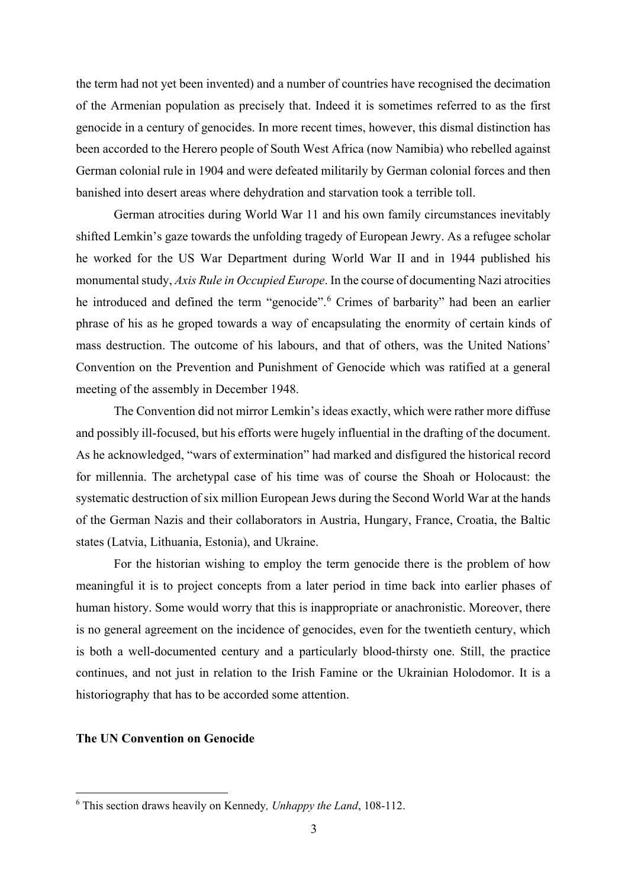the term had not yet been invented) and a number of countries have recognised the decimation of the Armenian population as precisely that. Indeed it is sometimes referred to as the first genocide in a century of genocides. In more recent times, however, this dismal distinction has been accorded to the Herero people of South West Africa (now Namibia) who rebelled against German colonial rule in 1904 and were defeated militarily by German colonial forces and then banished into desert areas where dehydration and starvation took a terrible toll.

German atrocities during World War 11 and his own family circumstances inevitably shifted Lemkin's gaze towards the unfolding tragedy of European Jewry. As a refugee scholar he worked for the US War Department during World War II and in 1944 published his monumental study, *Axis Rule in Occupied Europe*. In the course of documenting Nazi atrocities he introduced and defined the term "genocide".<sup>[6](#page-3-0)</sup> Crimes of barbarity" had been an earlier phrase of his as he groped towards a way of encapsulating the enormity of certain kinds of mass destruction. The outcome of his labours, and that of others, was the United Nations' Convention on the Prevention and Punishment of Genocide which was ratified at a general meeting of the assembly in December 1948.

The Convention did not mirror Lemkin's ideas exactly, which were rather more diffuse and possibly ill-focused, but his efforts were hugely influential in the drafting of the document. As he acknowledged, "wars of extermination" had marked and disfigured the historical record for millennia. The archetypal case of his time was of course the Shoah or Holocaust: the systematic destruction of six million European Jews during the Second World War at the hands of the German Nazis and their collaborators in Austria, Hungary, France, Croatia, the Baltic states (Latvia, Lithuania, Estonia), and Ukraine.

For the historian wishing to employ the term genocide there is the problem of how meaningful it is to project concepts from a later period in time back into earlier phases of human history. Some would worry that this is inappropriate or anachronistic. Moreover, there is no general agreement on the incidence of genocides, even for the twentieth century, which is both a well-documented century and a particularly blood-thirsty one. Still, the practice continues, and not just in relation to the Irish Famine or the Ukrainian Holodomor. It is a historiography that has to be accorded some attention.

## **The UN Convention on Genocide**

<span id="page-3-0"></span><sup>6</sup> This section draws heavily on Kennedy*, Unhappy the Land*, 108-112.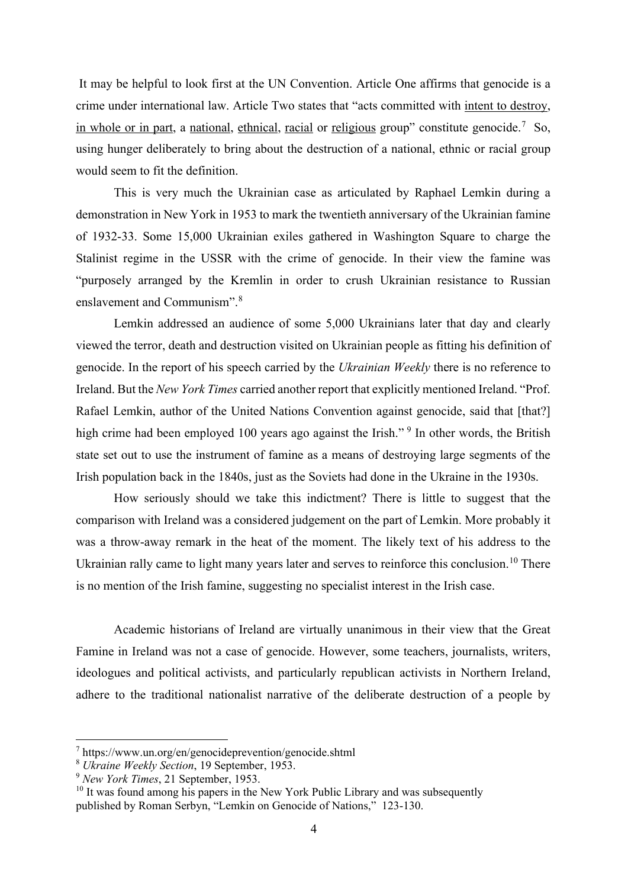It may be helpful to look first at the UN Convention. Article One affirms that genocide is a crime under international law. Article Two states that "acts committed with intent to destroy, in whole or in part, a [national,](http://en.wikipedia.org/wiki/Nation) [ethnical,](http://en.wikipedia.org/wiki/Ethnicity) [racial](http://en.wikipedia.org/wiki/Race_(classification_of_human_beings)) or [religious](http://en.wikipedia.org/wiki/Religion) group" constitute genocide.<sup>[7](#page-4-0)</sup> So, using hunger deliberately to bring about the destruction of a national, ethnic or racial group would seem to fit the definition.

This is very much the Ukrainian case as articulated by Raphael Lemkin during a demonstration in New York in 1953 to mark the twentieth anniversary of the Ukrainian famine of 1932-33. Some 15,000 Ukrainian exiles gathered in Washington Square to charge the Stalinist regime in the USSR with the crime of genocide. In their view the famine was "purposely arranged by the Kremlin in order to crush Ukrainian resistance to Russian enslavement and Communism".[8](#page-4-1)

Lemkin addressed an audience of some 5,000 Ukrainians later that day and clearly viewed the terror, death and destruction visited on Ukrainian people as fitting his definition of genocide. In the report of his speech carried by the *Ukrainian Weekly* there is no reference to Ireland. But the *New York Times* carried another report that explicitly mentioned Ireland. "Prof. Rafael Lemkin, author of the United Nations Convention against genocide, said that [that?] high crime had been employed 100 years ago against the Irish."<sup>[9](#page-4-2)</sup> In other words, the British state set out to use the instrument of famine as a means of destroying large segments of the Irish population back in the 1840s, just as the Soviets had done in the Ukraine in the 1930s.

How seriously should we take this indictment? There is little to suggest that the comparison with Ireland was a considered judgement on the part of Lemkin. More probably it was a throw-away remark in the heat of the moment. The likely text of his address to the Ukrainian rally came to light many years later and serves to reinforce this conclusion.<sup>[10](#page-4-3)</sup> There is no mention of the Irish famine, suggesting no specialist interest in the Irish case.

Academic historians of Ireland are virtually unanimous in their view that the Great Famine in Ireland was not a case of genocide. However, some teachers, journalists, writers, ideologues and political activists, and particularly republican activists in Northern Ireland, adhere to the traditional nationalist narrative of the deliberate destruction of a people by

<span id="page-4-0"></span><sup>7</sup> https://www.un.org/en/genocideprevention/genocide.shtml

<span id="page-4-1"></span><sup>8</sup> *Ukraine Weekly Section*, 19 September, 1953.

<span id="page-4-2"></span><sup>9</sup> *New York Times*, 21 September, 1953.

<span id="page-4-3"></span> $10$  It was found among his papers in the New York Public Library and was subsequently published by Roman Serbyn, "Lemkin on Genocide of Nations," 123-130.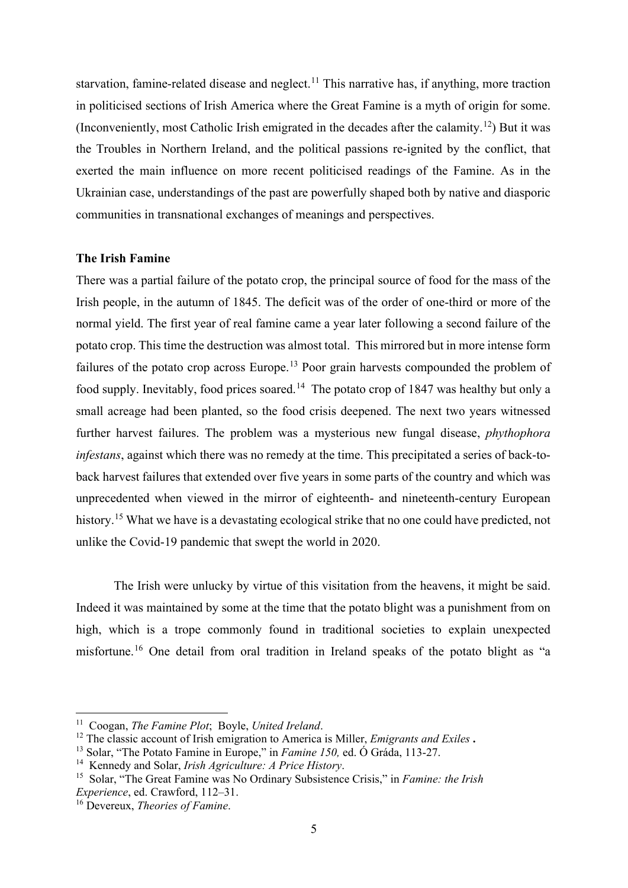starvation, famine-related disease and neglect.<sup>[11](#page-5-0)</sup> This narrative has, if anything, more traction in politicised sections of Irish America where the Great Famine is a myth of origin for some. (Inconveniently, most Catholic Irish emigrated in the decades after the calamity.[12](#page-5-1)) But it was the Troubles in Northern Ireland, and the political passions re-ignited by the conflict, that exerted the main influence on more recent politicised readings of the Famine. As in the Ukrainian case, understandings of the past are powerfully shaped both by native and diasporic communities in transnational exchanges of meanings and perspectives.

## **The Irish Famine**

There was a partial failure of the potato crop, the principal source of food for the mass of the Irish people, in the autumn of 1845. The deficit was of the order of one-third or more of the normal yield. The first year of real famine came a year later following a second failure of the potato crop. This time the destruction was almost total. This mirrored but in more intense form failures of the potato crop across Europe.<sup>[13](#page-5-2)</sup> Poor grain harvests compounded the problem of food supply. Inevitably, food prices soared.<sup>[14](#page-5-3)</sup> The potato crop of 1847 was healthy but only a small acreage had been planted, so the food crisis deepened. The next two years witnessed further harvest failures. The problem was a mysterious new fungal disease, *phythophora infestans*, against which there was no remedy at the time. This precipitated a series of back-toback harvest failures that extended over five years in some parts of the country and which was unprecedented when viewed in the mirror of eighteenth- and nineteenth-century European history.<sup>[15](#page-5-4)</sup> What we have is a devastating ecological strike that no one could have predicted, not unlike the Covid-19 pandemic that swept the world in 2020.

The Irish were unlucky by virtue of this visitation from the heavens, it might be said. Indeed it was maintained by some at the time that the potato blight was a punishment from on high, which is a trope commonly found in traditional societies to explain unexpected misfortune.[16](#page-5-5) One detail from oral tradition in Ireland speaks of the potato blight as "a

<span id="page-5-0"></span><sup>11</sup> Coogan, *The Famine Plot*; Boyle, *United Ireland*.

<span id="page-5-1"></span><sup>12</sup> The classic account of Irish emigration to America is Miller, *Emigrants and Exiles* **.**

<span id="page-5-2"></span><sup>13</sup> Solar, "The Potato Famine in Europe," in *Famine 150,* ed. Ó Gráda, 113-27.

<span id="page-5-3"></span><sup>14</sup> Kennedy and Solar, *Irish Agriculture: A Price History*.

<span id="page-5-4"></span><sup>15</sup> Solar, "The Great Famine was No Ordinary Subsistence Crisis," in *Famine: the Irish Experience*, ed. Crawford, 112–31.

<span id="page-5-5"></span><sup>16</sup> Devereux, *Theories of Famine*.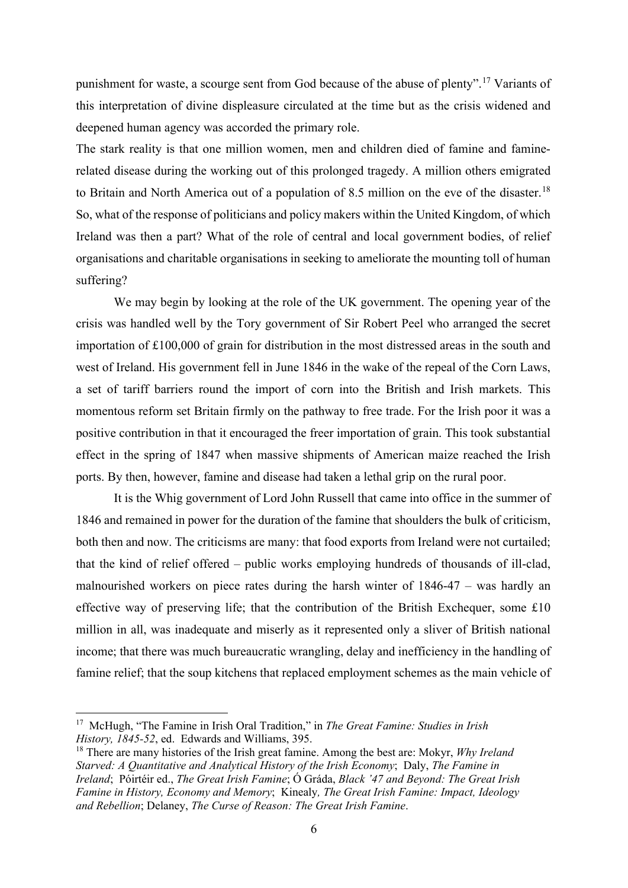punishment for waste, a scourge sent from God because of the abuse of plenty".[17](#page-6-0) Variants of this interpretation of divine displeasure circulated at the time but as the crisis widened and deepened human agency was accorded the primary role.

The stark reality is that one million women, men and children died of famine and faminerelated disease during the working out of this prolonged tragedy. A million others emigrated to Britain and North America out of a population of 8.5 million on the eve of the disaster.<sup>[18](#page-6-1)</sup> So, what of the response of politicians and policy makers within the United Kingdom, of which Ireland was then a part? What of the role of central and local government bodies, of relief organisations and charitable organisations in seeking to ameliorate the mounting toll of human suffering?

We may begin by looking at the role of the UK government. The opening year of the crisis was handled well by the Tory government of Sir Robert Peel who arranged the secret importation of £100,000 of grain for distribution in the most distressed areas in the south and west of Ireland. His government fell in June 1846 in the wake of the repeal of the Corn Laws, a set of tariff barriers round the import of corn into the British and Irish markets. This momentous reform set Britain firmly on the pathway to free trade. For the Irish poor it was a positive contribution in that it encouraged the freer importation of grain. This took substantial effect in the spring of 1847 when massive shipments of American maize reached the Irish ports. By then, however, famine and disease had taken a lethal grip on the rural poor.

It is the Whig government of Lord John Russell that came into office in the summer of 1846 and remained in power for the duration of the famine that shoulders the bulk of criticism, both then and now. The criticisms are many: that food exports from Ireland were not curtailed; that the kind of relief offered – public works employing hundreds of thousands of ill-clad, malnourished workers on piece rates during the harsh winter of 1846-47 – was hardly an effective way of preserving life; that the contribution of the British Exchequer, some £10 million in all, was inadequate and miserly as it represented only a sliver of British national income; that there was much bureaucratic wrangling, delay and inefficiency in the handling of famine relief; that the soup kitchens that replaced employment schemes as the main vehicle of

<span id="page-6-0"></span><sup>17</sup> McHugh, "The Famine in Irish Oral Tradition," in *The Great Famine: Studies in Irish History, 1845-52*, ed. Edwards and Williams, 395.

<span id="page-6-1"></span><sup>18</sup> There are many histories of the Irish great famine. Among the best are: Mokyr, *Why Ireland Starved: A Quantitative and Analytical History of the Irish Economy*; Daly, *The Famine in Ireland*; Póirtéir ed., *The Great Irish Famine*; Ó Gráda, *Black '47 and Beyond: The Great Irish Famine in History, Economy and Memory*; Kinealy*, The Great Irish Famine: Impact, Ideology and Rebellion*; Delaney, *The Curse of Reason: The Great Irish Famine*.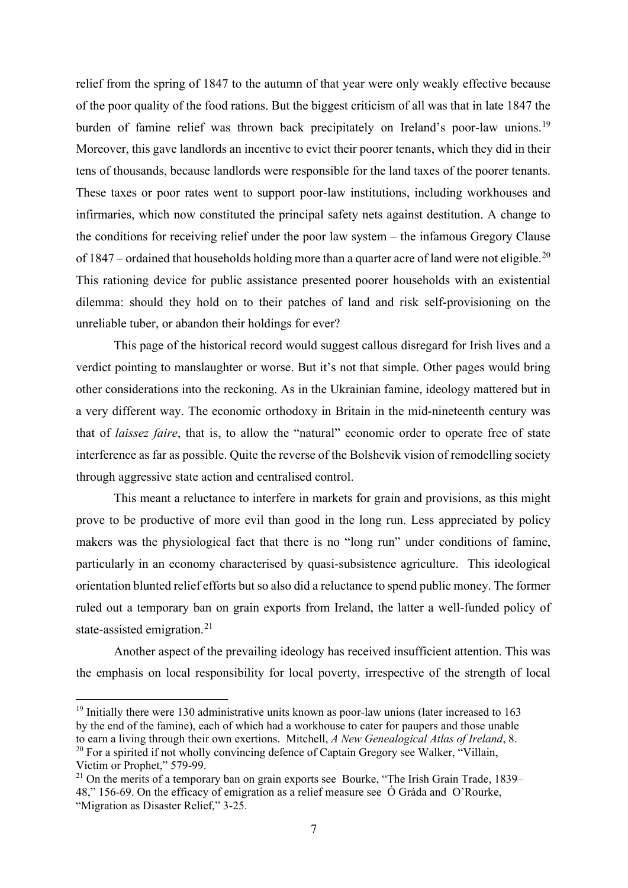relief from the spring of 1847 to the autumn of that year were only weakly effective because of the poor quality of the food rations. But the biggest criticism of all was that in late 1847 the burden of famine relief was thrown back precipitately on Ireland's poor-law unions.<sup>[19](#page-7-0)</sup> Moreover, this gave landlords an incentive to evict their poorer tenants, which they did in their tens of thousands, because landlords were responsible for the land taxes of the poorer tenants. These taxes or poor rates went to support poor-law institutions, including workhouses and infirmaries, which now constituted the principal safety nets against destitution. A change to the conditions for receiving relief under the poor law system – the infamous Gregory Clause of 1847 – ordained that households holding more than a quarter acre of land were not eligible.<sup>[20](#page-7-1)</sup> This rationing device for public assistance presented poorer households with an existential dilemma: should they hold on to their patches of land and risk self-provisioning on the unreliable tuber, or abandon their holdings for ever?

This page of the historical record would suggest callous disregard for Irish lives and a verdict pointing to manslaughter or worse. But it's not that simple. Other pages would bring other considerations into the reckoning. As in the Ukrainian famine, ideology mattered but in a very different way. The economic orthodoxy in Britain in the mid-nineteenth century was that of *laissez faire*, that is, to allow the "natural" economic order to operate free of state interference as far as possible. Quite the reverse of the Bolshevik vision of remodelling society through aggressive state action and centralised control.

This meant a reluctance to interfere in markets for grain and provisions, as this might prove to be productive of more evil than good in the long run. Less appreciated by policy makers was the physiological fact that there is no "long run" under conditions of famine, particularly in an economy characterised by quasi-subsistence agriculture. This ideological orientation blunted relief efforts but so also did a reluctance to spend public money. The former ruled out a temporary ban on grain exports from Ireland, the latter a well-funded policy of state-assisted emigration.<sup>[21](#page-7-2)</sup>

Another aspect of the prevailing ideology has received insufficient attention. This was the emphasis on local responsibility for local poverty, irrespective of the strength of local

<span id="page-7-0"></span> $19$  Initially there were 130 administrative units known as poor-law unions (later increased to 163 by the end of the famine), each of which had a workhouse to cater for paupers and those unable to earn a living through their own exertions. Mitchell, *A New Genealogical Atlas of Ireland*, 8. <sup>20</sup> For a spirited if not wholly convincing defence of Captain Gregory see Walker, "Villain, Victim or Prophet," 579-99.

<span id="page-7-2"></span><span id="page-7-1"></span> $21$  On the merits of a temporary ban on grain exports see Bourke, "The Irish Grain Trade, 1839– 48," 156-69. On the efficacy of emigration as a relief measure see Ó Gráda and O'Rourke, "Migration as Disaster Relief," 3-25.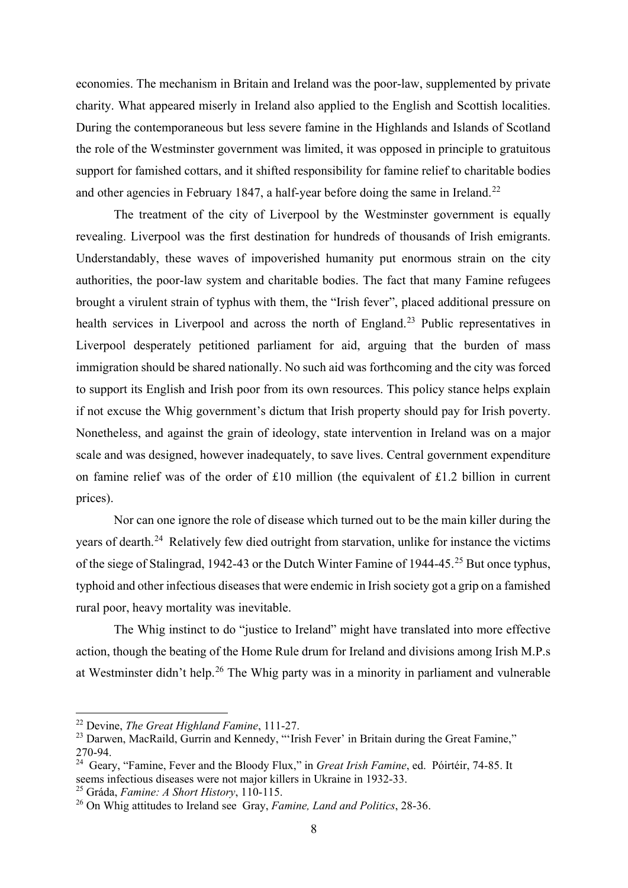economies. The mechanism in Britain and Ireland was the poor-law, supplemented by private charity. What appeared miserly in Ireland also applied to the English and Scottish localities. During the contemporaneous but less severe famine in the Highlands and Islands of Scotland the role of the Westminster government was limited, it was opposed in principle to gratuitous support for famished cottars, and it shifted responsibility for famine relief to charitable bodies and other agencies in February 1847, a half-year before doing the same in Ireland.<sup>[22](#page-8-0)</sup>

The treatment of the city of Liverpool by the Westminster government is equally revealing. Liverpool was the first destination for hundreds of thousands of Irish emigrants. Understandably, these waves of impoverished humanity put enormous strain on the city authorities, the poor-law system and charitable bodies. The fact that many Famine refugees brought a virulent strain of typhus with them, the "Irish fever", placed additional pressure on health services in Liverpool and across the north of England.<sup>[23](#page-8-1)</sup> Public representatives in Liverpool desperately petitioned parliament for aid, arguing that the burden of mass immigration should be shared nationally. No such aid was forthcoming and the city was forced to support its English and Irish poor from its own resources. This policy stance helps explain if not excuse the Whig government's dictum that Irish property should pay for Irish poverty. Nonetheless, and against the grain of ideology, state intervention in Ireland was on a major scale and was designed, however inadequately, to save lives. Central government expenditure on famine relief was of the order of £10 million (the equivalent of £1.2 billion in current prices).

Nor can one ignore the role of disease which turned out to be the main killer during the years of dearth.<sup>24</sup> Relatively few died outright from starvation, unlike for instance the victims of the siege of Stalingrad, 1942-43 or the Dutch Winter Famine of 1944-45.<sup>[25](#page-8-3)</sup> But once typhus, typhoid and other infectious diseases that were endemic in Irish society got a grip on a famished rural poor, heavy mortality was inevitable.

The Whig instinct to do "justice to Ireland" might have translated into more effective action, though the beating of the Home Rule drum for Ireland and divisions among Irish M.P.s at Westminster didn't help.[26](#page-8-4) The Whig party was in a minority in parliament and vulnerable

<span id="page-8-0"></span><sup>22</sup> Devine, *The Great Highland Famine*, 111-27.

<span id="page-8-1"></span><sup>&</sup>lt;sup>23</sup> Darwen, MacRaild, Gurrin and Kennedy, "'Irish Fever' in Britain during the Great Famine," 270-94.

<span id="page-8-2"></span><sup>24</sup> Geary, "Famine, Fever and the Bloody Flux," in *Great Irish Famine*, ed. Póirtéir, 74-85. It seems infectious diseases were not major killers in Ukraine in 1932-33.

<span id="page-8-3"></span><sup>25</sup> Gráda, *Famine: A Short History*, 110-115.

<span id="page-8-4"></span><sup>26</sup> On Whig attitudes to Ireland see Gray, *Famine, Land and Politics*, 28-36.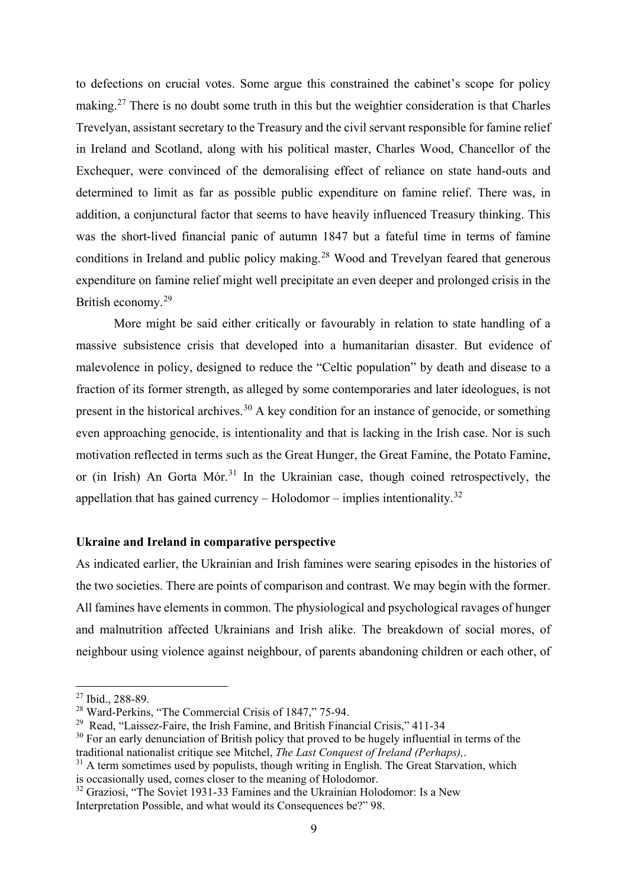to defections on crucial votes. Some argue this constrained the cabinet's scope for policy making.<sup>[27](#page-9-0)</sup> There is no doubt some truth in this but the weightier consideration is that Charles Trevelyan, assistant secretary to the Treasury and the civil servant responsible for famine relief in Ireland and Scotland, along with his political master, Charles Wood, Chancellor of the Exchequer, were convinced of the demoralising effect of reliance on state hand-outs and determined to limit as far as possible public expenditure on famine relief. There was, in addition, a conjunctural factor that seems to have heavily influenced Treasury thinking. This was the short-lived financial panic of autumn 1847 but a fateful time in terms of famine conditions in Ireland and public policy making.<sup>[28](#page-9-1)</sup> Wood and Trevelyan feared that generous expenditure on famine relief might well precipitate an even deeper and prolonged crisis in the British economy.[29](#page-9-2)

More might be said either critically or favourably in relation to state handling of a massive subsistence crisis that developed into a humanitarian disaster. But evidence of malevolence in policy, designed to reduce the "Celtic population" by death and disease to a fraction of its former strength, as alleged by some contemporaries and later ideologues, is not present in the historical archives.<sup>[30](#page-9-3)</sup> A key condition for an instance of genocide, or something even approaching genocide, is intentionality and that is lacking in the Irish case. Nor is such motivation reflected in terms such as the Great Hunger, the Great Famine, the Potato Famine, or (in Irish) An Gorta Mór.<sup>[31](#page-9-4)</sup> In the Ukrainian case, though coined retrospectively, the appellation that has gained currency – Holodomor – implies intentionality.<sup>[32](#page-9-5)</sup>

## **Ukraine and Ireland in comparative perspective**

As indicated earlier, the Ukrainian and Irish famines were searing episodes in the histories of the two societies. There are points of comparison and contrast. We may begin with the former. All famines have elements in common. The physiological and psychological ravages of hunger and malnutrition affected Ukrainians and Irish alike. The breakdown of social mores, of neighbour using violence against neighbour, of parents abandoning children or each other, of

<span id="page-9-0"></span><sup>&</sup>lt;sup>27</sup> Ibid., 288-89.

<span id="page-9-1"></span><sup>28</sup> Ward-Perkins, "The Commercial Crisis of 1847," 75-94.

<span id="page-9-2"></span><sup>&</sup>lt;sup>29</sup> Read, "Laissez-Faire, the Irish Famine, and British Financial Crisis," 411-34

<span id="page-9-3"></span> $30$  For an early denunciation of British policy that proved to be hugely influential in terms of the traditional nationalist critique see Mitchel, *The Last Conquest of Ireland (Perhaps),*.

<span id="page-9-4"></span> $31$  A term sometimes used by populists, though writing in English. The Great Starvation, which is occasionally used, comes closer to the meaning of Holodomor.

<span id="page-9-5"></span> $32$  Graziosi, "The Soviet 1931-33 Famines and the Ukrainian Holodomor: Is a New Interpretation Possible, and what would its Consequences be?" 98.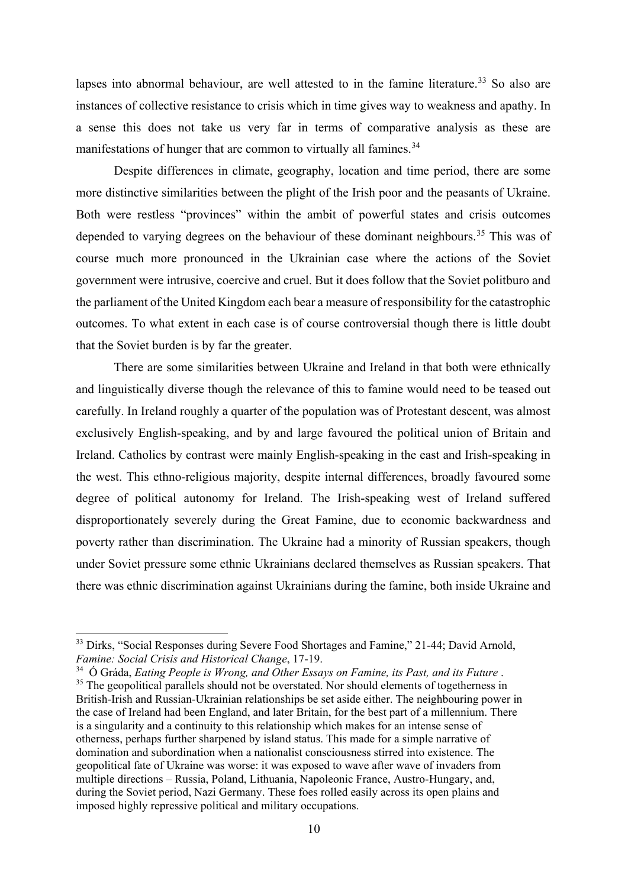lapses into abnormal behaviour, are well attested to in the famine literature.<sup>[33](#page-10-0)</sup> So also are instances of collective resistance to crisis which in time gives way to weakness and apathy. In a sense this does not take us very far in terms of comparative analysis as these are manifestations of hunger that are common to virtually all famines.<sup>[34](#page-10-1)</sup>

Despite differences in climate, geography, location and time period, there are some more distinctive similarities between the plight of the Irish poor and the peasants of Ukraine. Both were restless "provinces" within the ambit of powerful states and crisis outcomes depended to varying degrees on the behaviour of these dominant neighbours.<sup>[35](#page-10-2)</sup> This was of course much more pronounced in the Ukrainian case where the actions of the Soviet government were intrusive, coercive and cruel. But it does follow that the Soviet politburo and the parliament of the United Kingdom each bear a measure of responsibility for the catastrophic outcomes. To what extent in each case is of course controversial though there is little doubt that the Soviet burden is by far the greater.

There are some similarities between Ukraine and Ireland in that both were ethnically and linguistically diverse though the relevance of this to famine would need to be teased out carefully. In Ireland roughly a quarter of the population was of Protestant descent, was almost exclusively English-speaking, and by and large favoured the political union of Britain and Ireland. Catholics by contrast were mainly English-speaking in the east and Irish-speaking in the west. This ethno-religious majority, despite internal differences, broadly favoured some degree of political autonomy for Ireland. The Irish-speaking west of Ireland suffered disproportionately severely during the Great Famine, due to economic backwardness and poverty rather than discrimination. The Ukraine had a minority of Russian speakers, though under Soviet pressure some ethnic Ukrainians declared themselves as Russian speakers. That there was ethnic discrimination against Ukrainians during the famine, both inside Ukraine and

<span id="page-10-0"></span><sup>&</sup>lt;sup>33</sup> Dirks, "Social Responses during Severe Food Shortages and Famine," 21-44; David Arnold, *Famine: Social Crisis and Historical Change*, 17-19.

<span id="page-10-2"></span><span id="page-10-1"></span><sup>34</sup> Ó Gráda, *Eating People is Wrong, and Other Essays on Famine, its Past, and its Future* . <sup>35</sup> The geopolitical parallels should not be overstated. Nor should elements of togetherness in British-Irish and Russian-Ukrainian relationships be set aside either. The neighbouring power in the case of Ireland had been England, and later Britain, for the best part of a millennium. There is a singularity and a continuity to this relationship which makes for an intense sense of otherness, perhaps further sharpened by island status. This made for a simple narrative of domination and subordination when a nationalist consciousness stirred into existence. The geopolitical fate of Ukraine was worse: it was exposed to wave after wave of invaders from multiple directions – Russia, Poland, Lithuania, Napoleonic France, Austro-Hungary, and, during the Soviet period, Nazi Germany. These foes rolled easily across its open plains and imposed highly repressive political and military occupations.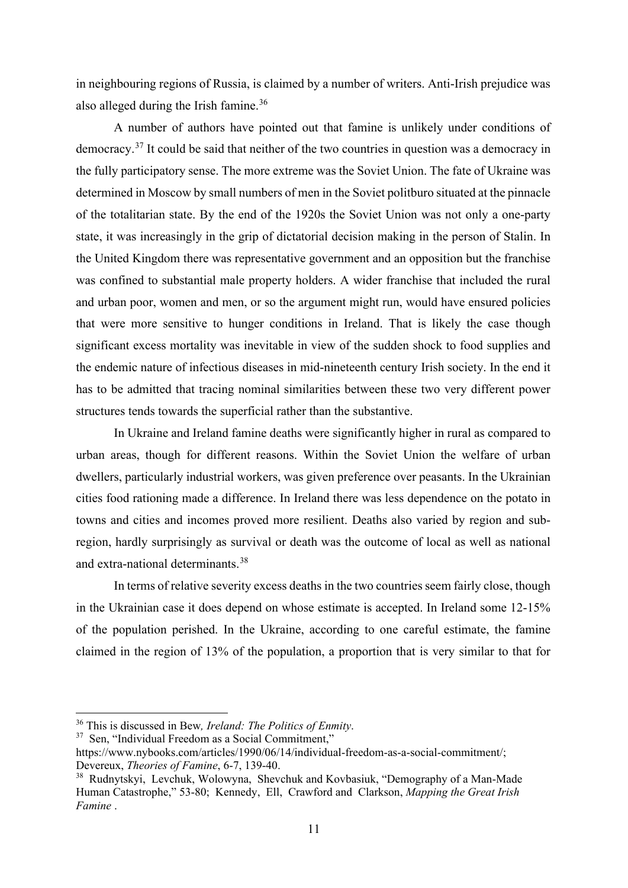in neighbouring regions of Russia, is claimed by a number of writers. Anti-Irish prejudice was also alleged during the Irish famine.<sup>36</sup>

A number of authors have pointed out that famine is unlikely under conditions of democracy.[37](#page-11-1) It could be said that neither of the two countries in question was a democracy in the fully participatory sense. The more extreme was the Soviet Union. The fate of Ukraine was determined in Moscow by small numbers of men in the Soviet politburo situated at the pinnacle of the totalitarian state. By the end of the 1920s the Soviet Union was not only a one-party state, it was increasingly in the grip of dictatorial decision making in the person of Stalin. In the United Kingdom there was representative government and an opposition but the franchise was confined to substantial male property holders. A wider franchise that included the rural and urban poor, women and men, or so the argument might run, would have ensured policies that were more sensitive to hunger conditions in Ireland. That is likely the case though significant excess mortality was inevitable in view of the sudden shock to food supplies and the endemic nature of infectious diseases in mid-nineteenth century Irish society. In the end it has to be admitted that tracing nominal similarities between these two very different power structures tends towards the superficial rather than the substantive.

In Ukraine and Ireland famine deaths were significantly higher in rural as compared to urban areas, though for different reasons. Within the Soviet Union the welfare of urban dwellers, particularly industrial workers, was given preference over peasants. In the Ukrainian cities food rationing made a difference. In Ireland there was less dependence on the potato in towns and cities and incomes proved more resilient. Deaths also varied by region and subregion, hardly surprisingly as survival or death was the outcome of local as well as national and extra-national determinants.[38](#page-11-2)

In terms of relative severity excess deaths in the two countries seem fairly close, though in the Ukrainian case it does depend on whose estimate is accepted. In Ireland some 12-15% of the population perished. In the Ukraine, according to one careful estimate, the famine claimed in the region of 13% of the population, a proportion that is very similar to that for

<span id="page-11-0"></span><sup>36</sup> This is discussed in Bew*, Ireland: The Politics of Enmity*.

<span id="page-11-1"></span><sup>&</sup>lt;sup>37</sup> Sen, "Individual Freedom as a Social Commitment,"

https://www.nybooks.com/articles/1990/06/14/individual-freedom-as-a-social-commitment/; Devereux, *Theories of Famine*, 6-7, 139-40.

<span id="page-11-2"></span><sup>38</sup> Rudnytskyi, Levchuk, Wolowyna, Shevchuk and Kovbasiuk, "Demography of a Man-Made Human Catastrophe," 53-80; Kennedy, Ell, Crawford and Clarkson, *Mapping the Great Irish Famine* .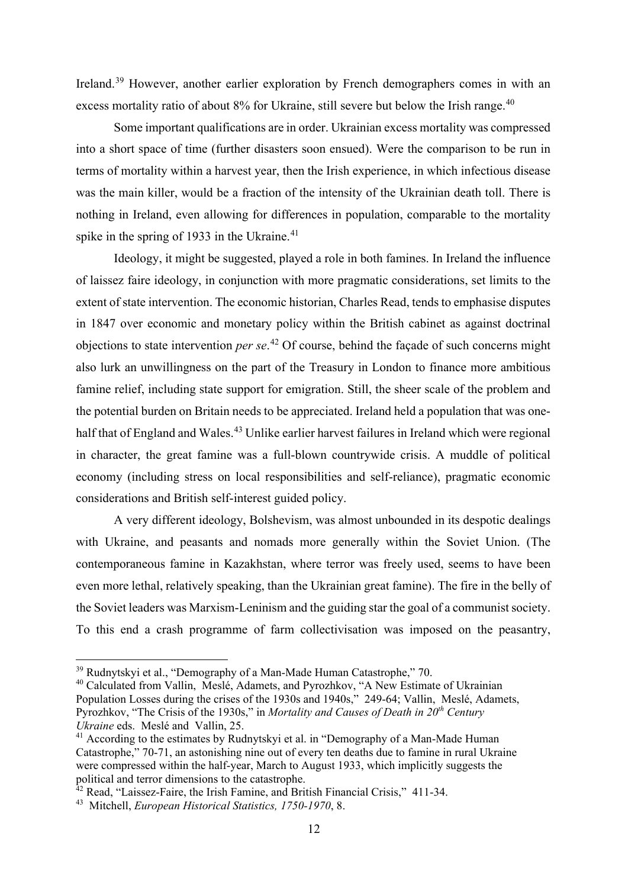Ireland.<sup>[39](#page-12-0)</sup> However, another earlier exploration by French demographers comes in with an excess mortality ratio of about 8% for Ukraine, still severe but below the Irish range.<sup>[40](#page-12-1)</sup>

Some important qualifications are in order. Ukrainian excess mortality was compressed into a short space of time (further disasters soon ensued). Were the comparison to be run in terms of mortality within a harvest year, then the Irish experience, in which infectious disease was the main killer, would be a fraction of the intensity of the Ukrainian death toll. There is nothing in Ireland, even allowing for differences in population, comparable to the mortality spike in the spring of 1933 in the Ukraine.<sup>41</sup>

Ideology, it might be suggested, played a role in both famines. In Ireland the influence of laissez faire ideology, in conjunction with more pragmatic considerations, set limits to the extent of state intervention. The economic historian, Charles Read, tends to emphasise disputes in 1847 over economic and monetary policy within the British cabinet as against doctrinal objections to state intervention *per se*. [42](#page-12-3) Of course, behind the façade of such concerns might also lurk an unwillingness on the part of the Treasury in London to finance more ambitious famine relief, including state support for emigration. Still, the sheer scale of the problem and the potential burden on Britain needs to be appreciated. Ireland held a population that was one-half that of England and Wales.<sup>[43](#page-12-4)</sup> Unlike earlier harvest failures in Ireland which were regional in character, the great famine was a full-blown countrywide crisis. A muddle of political economy (including stress on local responsibilities and self-reliance), pragmatic economic considerations and British self-interest guided policy.

A very different ideology, Bolshevism, was almost unbounded in its despotic dealings with Ukraine, and peasants and nomads more generally within the Soviet Union. (The contemporaneous famine in Kazakhstan, where terror was freely used, seems to have been even more lethal, relatively speaking, than the Ukrainian great famine). The fire in the belly of the Soviet leaders was Marxism-Leninism and the guiding star the goal of a communist society. To this end a crash programme of farm collectivisation was imposed on the peasantry,

<span id="page-12-0"></span> $39$  Rudnytskyi et al., "Demography of a Man-Made Human Catastrophe," 70.

<span id="page-12-1"></span><sup>&</sup>lt;sup>40</sup> Calculated from Vallin, Meslé, Adamets, and Pyrozhkov, "A New Estimate of Ukrainian Population Losses during the crises of the 1930s and 1940s," 249-64; Vallin, Meslé, Adamets, Pyrozhkov, "The Crisis of the 1930s," in *Mortality and Causes of Death in 20th Century Ukraine* eds. Meslé and Vallin, 25.

<span id="page-12-2"></span><sup>&</sup>lt;sup>41</sup> According to the estimates by Rudnytskyi et al. in "Demography of a Man-Made Human" Catastrophe," 70-71, an astonishing nine out of every ten deaths due to famine in rural Ukraine were compressed within the half-year, March to August 1933, which implicitly suggests the political and terror dimensions to the catastrophe.

<span id="page-12-3"></span> $42$  Read, "Laissez-Faire, the Irish Famine, and British Financial Crisis," 411-34.

<span id="page-12-4"></span><sup>43</sup> Mitchell, *European Historical Statistics, 1750-1970*, 8.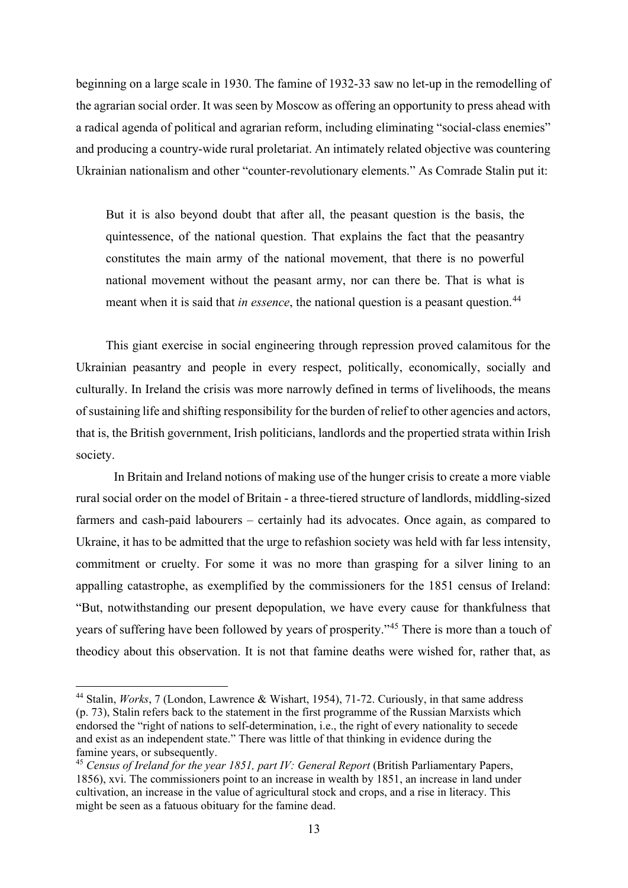beginning on a large scale in 1930. The famine of 1932-33 saw no let-up in the remodelling of the agrarian social order. It was seen by Moscow as offering an opportunity to press ahead with a radical agenda of political and agrarian reform, including eliminating "social-class enemies" and producing a country-wide rural proletariat. An intimately related objective was countering Ukrainian nationalism and other "counter-revolutionary elements." As Comrade Stalin put it:

But it is also beyond doubt that after all, the peasant question is the basis, the quintessence, of the national question. That explains the fact that the peasantry constitutes the main army of the national movement, that there is no powerful national movement without the peasant army, nor can there be. That is what is meant when it is said that *in essence*, the national question is a peasant question.<sup>[44](#page-13-0)</sup>

This giant exercise in social engineering through repression proved calamitous for the Ukrainian peasantry and people in every respect, politically, economically, socially and culturally. In Ireland the crisis was more narrowly defined in terms of livelihoods, the means of sustaining life and shifting responsibility for the burden of relief to other agencies and actors, that is, the British government, Irish politicians, landlords and the propertied strata within Irish society.

In Britain and Ireland notions of making use of the hunger crisis to create a more viable rural social order on the model of Britain - a three-tiered structure of landlords, middling-sized farmers and cash-paid labourers – certainly had its advocates. Once again, as compared to Ukraine, it has to be admitted that the urge to refashion society was held with far less intensity, commitment or cruelty. For some it was no more than grasping for a silver lining to an appalling catastrophe, as exemplified by the commissioners for the 1851 census of Ireland: "But, notwithstanding our present depopulation, we have every cause for thankfulness that years of suffering have been followed by years of prosperity."[45](#page-13-1) There is more than a touch of theodicy about this observation. It is not that famine deaths were wished for, rather that, as

<span id="page-13-0"></span><sup>44</sup> Stalin, *Works*, 7 (London, Lawrence & Wishart, 1954), 71-72. Curiously, in that same address (p. 73), Stalin refers back to the statement in the first programme of the Russian Marxists which endorsed the "right of nations to self-determination, i.e., the right of every nationality to secede and exist as an independent state." There was little of that thinking in evidence during the famine years, or subsequently.

<span id="page-13-1"></span><sup>45</sup> *Census of Ireland for the year 1851, part IV: General Report* (British Parliamentary Papers, 1856), xvi. The commissioners point to an increase in wealth by 1851, an increase in land under cultivation, an increase in the value of agricultural stock and crops, and a rise in literacy. This might be seen as a fatuous obituary for the famine dead.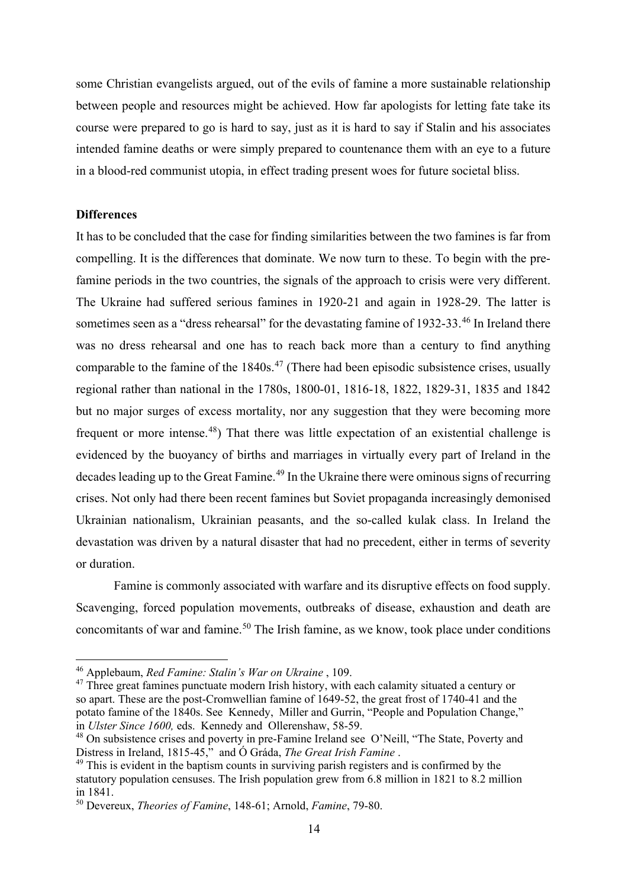some Christian evangelists argued, out of the evils of famine a more sustainable relationship between people and resources might be achieved. How far apologists for letting fate take its course were prepared to go is hard to say, just as it is hard to say if Stalin and his associates intended famine deaths or were simply prepared to countenance them with an eye to a future in a blood-red communist utopia, in effect trading present woes for future societal bliss.

## **Differences**

It has to be concluded that the case for finding similarities between the two famines is far from compelling. It is the differences that dominate. We now turn to these. To begin with the prefamine periods in the two countries, the signals of the approach to crisis were very different. The Ukraine had suffered serious famines in 1920-21 and again in 1928-29. The latter is sometimes seen as a "dress rehearsal" for the devastating famine of 1932-33.<sup>[46](#page-14-0)</sup> In Ireland there was no dress rehearsal and one has to reach back more than a century to find anything comparable to the famine of the  $1840s<sup>47</sup>$  $1840s<sup>47</sup>$  $1840s<sup>47</sup>$  (There had been episodic subsistence crises, usually regional rather than national in the 1780s, 1800-01, 1816-18, 1822, 1829-31, 1835 and 1842 but no major surges of excess mortality, nor any suggestion that they were becoming more frequent or more intense.<sup>48</sup>) That there was little expectation of an existential challenge is evidenced by the buoyancy of births and marriages in virtually every part of Ireland in the decades leading up to the Great Famine.<sup>[49](#page-14-3)</sup> In the Ukraine there were ominous signs of recurring crises. Not only had there been recent famines but Soviet propaganda increasingly demonised Ukrainian nationalism, Ukrainian peasants, and the so-called kulak class. In Ireland the devastation was driven by a natural disaster that had no precedent, either in terms of severity or duration.

Famine is commonly associated with warfare and its disruptive effects on food supply. Scavenging, forced population movements, outbreaks of disease, exhaustion and death are concomitants of war and famine.<sup>[50](#page-14-4)</sup> The Irish famine, as we know, took place under conditions

<span id="page-14-0"></span><sup>46</sup> Applebaum, *Red Famine: Stalin's War on Ukraine* , 109.

<span id="page-14-1"></span> $47$  Three great famines punctuate modern Irish history, with each calamity situated a century or so apart. These are the post-Cromwellian famine of 1649-52, the great frost of 1740-41 and the potato famine of the 1840s. See Kennedy, Miller and Gurrin, "People and Population Change," in *Ulster Since 1600,* eds. Kennedy and Ollerenshaw, 58-59.

<span id="page-14-2"></span><sup>&</sup>lt;sup>48</sup> On subsistence crises and poverty in pre-Famine Ireland see O'Neill, "The State, Poverty and Distress in Ireland, 1815-45," and Ó Gráda, *The Great Irish Famine* .

<span id="page-14-3"></span> $49$  This is evident in the baptism counts in surviving parish registers and is confirmed by the statutory population censuses. The Irish population grew from 6.8 million in 1821 to 8.2 million in 1841.

<span id="page-14-4"></span><sup>50</sup> Devereux, *Theories of Famine*, 148-61; Arnold, *Famine*, 79-80.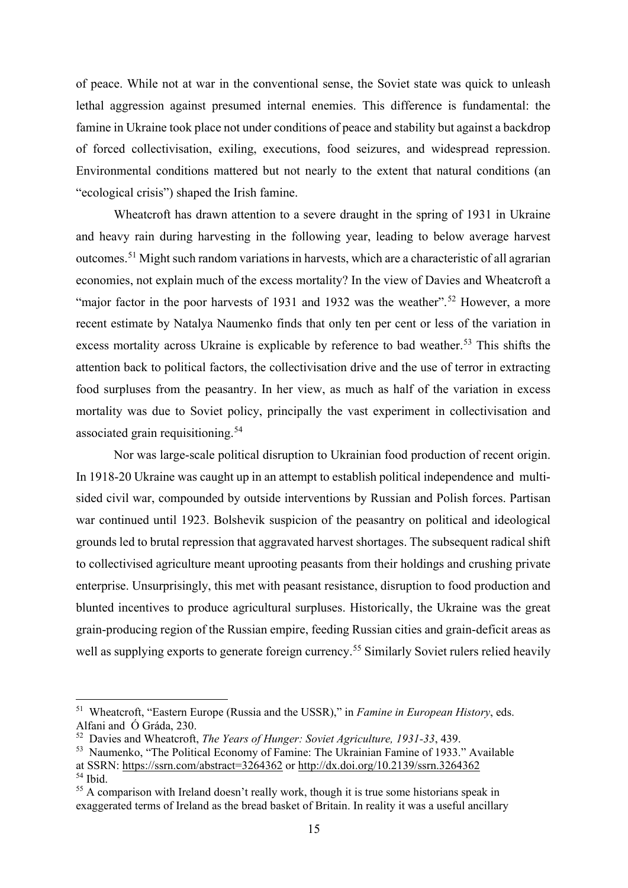of peace. While not at war in the conventional sense, the Soviet state was quick to unleash lethal aggression against presumed internal enemies. This difference is fundamental: the famine in Ukraine took place not under conditions of peace and stability but against a backdrop of forced collectivisation, exiling, executions, food seizures, and widespread repression. Environmental conditions mattered but not nearly to the extent that natural conditions (an "ecological crisis") shaped the Irish famine.

Wheatcroft has drawn attention to a severe draught in the spring of 1931 in Ukraine and heavy rain during harvesting in the following year, leading to below average harvest outcomes.[51](#page-15-0) Might such random variations in harvests, which are a characteristic of all agrarian economies, not explain much of the excess mortality? In the view of Davies and Wheatcroft a "major factor in the poor harvests of 1931 and 1932 was the weather".<sup>[52](#page-15-1)</sup> However, a more recent estimate by Natalya Naumenko finds that only ten per cent or less of the variation in excess mortality across Ukraine is explicable by reference to bad weather.<sup>[53](#page-15-2)</sup> This shifts the attention back to political factors, the collectivisation drive and the use of terror in extracting food surpluses from the peasantry. In her view, as much as half of the variation in excess mortality was due to Soviet policy, principally the vast experiment in collectivisation and associated grain requisitioning.<sup>[54](#page-15-3)</sup>

Nor was large-scale political disruption to Ukrainian food production of recent origin. In 1918-20 Ukraine was caught up in an attempt to establish political independence and multisided civil war, compounded by outside interventions by Russian and Polish forces. Partisan war continued until 1923. Bolshevik suspicion of the peasantry on political and ideological grounds led to brutal repression that aggravated harvest shortages. The subsequent radical shift to collectivised agriculture meant uprooting peasants from their holdings and crushing private enterprise. Unsurprisingly, this met with peasant resistance, disruption to food production and blunted incentives to produce agricultural surpluses. Historically, the Ukraine was the great grain-producing region of the Russian empire, feeding Russian cities and grain-deficit areas as well as supplying exports to generate foreign currency.<sup>[55](#page-15-4)</sup> Similarly Soviet rulers relied heavily

<span id="page-15-0"></span><sup>51</sup> Wheatcroft, "Eastern Europe (Russia and the USSR)," in *Famine in European History*, eds. Alfani and Ó Gráda, 230.

<span id="page-15-1"></span><sup>52</sup> Davies and Wheatcroft, *The Years of Hunger: Soviet Agriculture, 1931-33*, 439.

<span id="page-15-2"></span><sup>&</sup>lt;sup>53</sup> Naumenko, "The Political Economy of Famine: The Ukrainian Famine of 1933." Available at SSRN: <https://ssrn.com/abstract=3264362> or [http://dx.doi.org/10.2139/ssrn.3264362](https://dx.doi.org/10.2139/ssrn.3264362)

<span id="page-15-3"></span><sup>54</sup> Ibid.

<span id="page-15-4"></span> $55$  A comparison with Ireland doesn't really work, though it is true some historians speak in exaggerated terms of Ireland as the bread basket of Britain. In reality it was a useful ancillary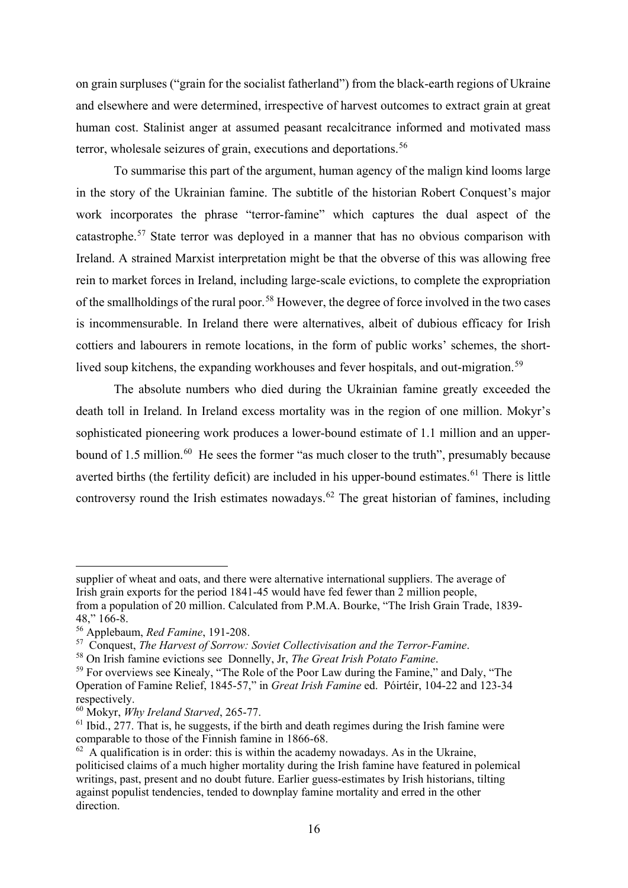on grain surpluses ("grain for the socialist fatherland") from the black-earth regions of Ukraine and elsewhere and were determined, irrespective of harvest outcomes to extract grain at great human cost. Stalinist anger at assumed peasant recalcitrance informed and motivated mass terror, wholesale seizures of grain, executions and deportations.<sup>[56](#page-16-0)</sup>

To summarise this part of the argument, human agency of the malign kind looms large in the story of the Ukrainian famine. The subtitle of the historian Robert Conquest's major work incorporates the phrase "terror-famine" which captures the dual aspect of the catastrophe.[57](#page-16-1) State terror was deployed in a manner that has no obvious comparison with Ireland. A strained Marxist interpretation might be that the obverse of this was allowing free rein to market forces in Ireland, including large-scale evictions, to complete the expropriation of the smallholdings of the rural poor.<sup>[58](#page-16-2)</sup> However, the degree of force involved in the two cases is incommensurable. In Ireland there were alternatives, albeit of dubious efficacy for Irish cottiers and labourers in remote locations, in the form of public works' schemes, the short-lived soup kitchens, the expanding workhouses and fever hospitals, and out-migration.<sup>[59](#page-16-3)</sup>

The absolute numbers who died during the Ukrainian famine greatly exceeded the death toll in Ireland. In Ireland excess mortality was in the region of one million. Mokyr's sophisticated pioneering work produces a lower-bound estimate of 1.1 million and an upper-bound of 1.5 million.<sup>[60](#page-16-4)</sup> He sees the former "as much closer to the truth", presumably because averted births (the fertility deficit) are included in his upper-bound estimates.<sup>[61](#page-16-5)</sup> There is little controversy round the Irish estimates nowadays.<sup>[62](#page-16-6)</sup> The great historian of famines, including

supplier of wheat and oats, and there were alternative international suppliers. The average of Irish grain exports for the period 1841-45 would have fed fewer than 2 million people, from a population of 20 million. Calculated from P.M.A. Bourke, "The Irish Grain Trade, 1839- 48," 166-8.

<span id="page-16-0"></span><sup>56</sup> Applebaum, *Red Famine*, 191-208.

<span id="page-16-1"></span><sup>57</sup> Conquest, *The Harvest of Sorrow: Soviet Collectivisation and the Terror-Famine*.

<span id="page-16-2"></span><sup>58</sup> On Irish famine evictions see Donnelly, Jr, *The Great Irish Potato Famine*.

<span id="page-16-3"></span><sup>&</sup>lt;sup>59</sup> For overviews see Kinealy, "The Role of the Poor Law during the Famine," and Daly, "The Operation of Famine Relief, 1845-57," in *Great Irish Famine* ed. Póirtéir, 104-22 and 123-34 respectively.

<span id="page-16-4"></span><sup>60</sup> Mokyr, *Why Ireland Starved*, 265-77.

<span id="page-16-5"></span> $<sup>61</sup>$  Ibid., 277. That is, he suggests, if the birth and death regimes during the Irish famine were</sup> comparable to those of the Finnish famine in 1866-68.

<span id="page-16-6"></span> $62$  A qualification is in order: this is within the academy nowadays. As in the Ukraine, politicised claims of a much higher mortality during the Irish famine have featured in polemical writings, past, present and no doubt future. Earlier guess-estimates by Irish historians, tilting against populist tendencies, tended to downplay famine mortality and erred in the other direction.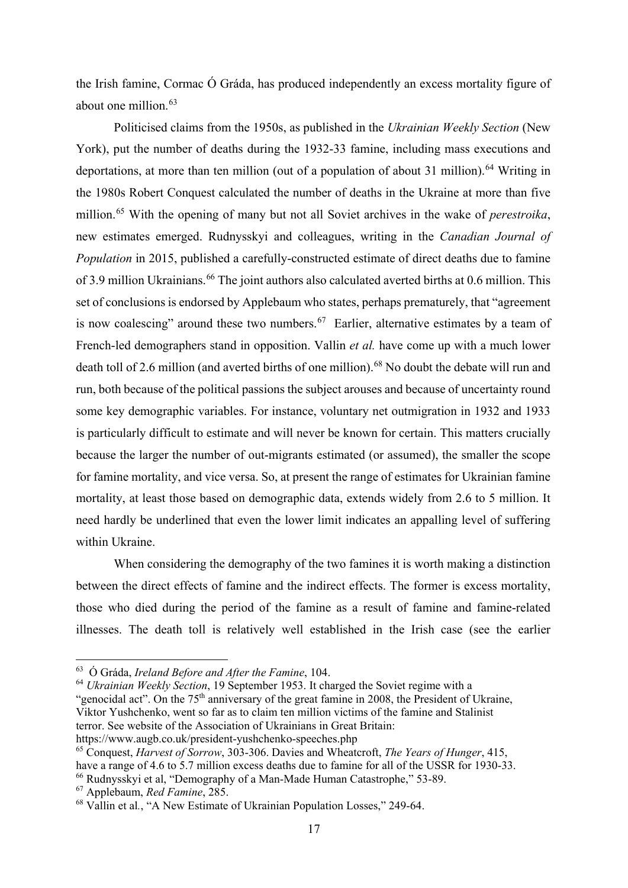the Irish famine, Cormac Ó Gráda, has produced independently an excess mortality figure of about one million.<sup>[63](#page-17-0)</sup>

Politicised claims from the 1950s, as published in the *Ukrainian Weekly Section* (New York), put the number of deaths during the 1932-33 famine, including mass executions and deportations, at more than ten million (out of a population of about 31 million).<sup>[64](#page-17-1)</sup> Writing in the 1980s Robert Conquest calculated the number of deaths in the Ukraine at more than five million.[65](#page-17-2) With the opening of many but not all Soviet archives in the wake of *perestroika*, new estimates emerged. Rudnysskyi and colleagues, writing in the *Canadian Journal of Population* in 2015, published a carefully-constructed estimate of direct deaths due to famine of 3.9 million Ukrainians.<sup>[66](#page-17-3)</sup> The joint authors also calculated averted births at 0.6 million. This set of conclusions is endorsed by Applebaum who states, perhaps prematurely, that "agreement is now coalescing" around these two numbers.<sup>[67](#page-17-4)</sup> Earlier, alternative estimates by a team of French-led demographers stand in opposition. Vallin *et al.* have come up with a much lower death toll of 2.6 million (and averted births of one million).<sup>[68](#page-17-5)</sup> No doubt the debate will run and run, both because of the political passions the subject arouses and because of uncertainty round some key demographic variables. For instance, voluntary net outmigration in 1932 and 1933 is particularly difficult to estimate and will never be known for certain. This matters crucially because the larger the number of out-migrants estimated (or assumed), the smaller the scope for famine mortality, and vice versa. So, at present the range of estimates for Ukrainian famine mortality, at least those based on demographic data, extends widely from 2.6 to 5 million. It need hardly be underlined that even the lower limit indicates an appalling level of suffering within Ukraine.

When considering the demography of the two famines it is worth making a distinction between the direct effects of famine and the indirect effects. The former is excess mortality, those who died during the period of the famine as a result of famine and famine-related illnesses. The death toll is relatively well established in the Irish case (see the earlier

<span id="page-17-0"></span><sup>63</sup> Ó Gráda, *Ireland Before and After the Famine*, 104.

<span id="page-17-1"></span><sup>64</sup> *Ukrainian Weekly Section*, 19 September 1953. It charged the Soviet regime with a

<sup>&</sup>quot;genocidal act". On the 75<sup>th</sup> anniversary of the great famine in 2008, the President of Ukraine, Viktor Yushchenko, went so far as to claim ten million victims of the famine and Stalinist terror. See website of the Association of Ukrainians in Great Britain: https://www.augb.co.uk/president-yushchenko-speeches.php

<span id="page-17-2"></span><sup>65</sup> Conquest, *Harvest of Sorrow*, 303-306. Davies and Wheatcroft, *The Years of Hunger*, 415, have a range of 4.6 to 5.7 million excess deaths due to famine for all of the USSR for 1930-33. <sup>66</sup> Rudnysskyi et al, "Demography of a Man-Made Human Catastrophe," 53-89.

<span id="page-17-4"></span><span id="page-17-3"></span><sup>67</sup> Applebaum, *Red Famine*, 285.

<span id="page-17-5"></span><sup>68</sup> Vallin et al*.*, "A New Estimate of Ukrainian Population Losses," 249-64.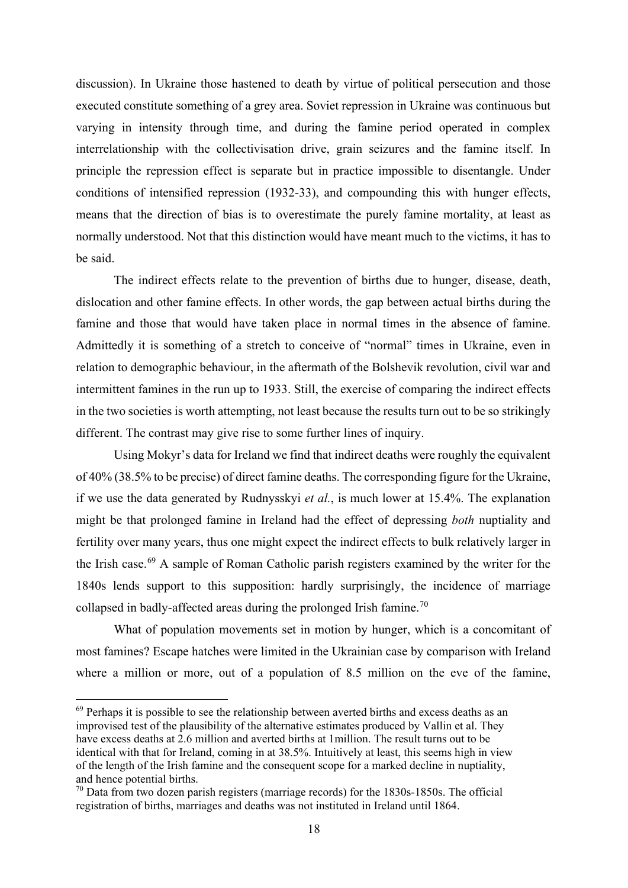discussion). In Ukraine those hastened to death by virtue of political persecution and those executed constitute something of a grey area. Soviet repression in Ukraine was continuous but varying in intensity through time, and during the famine period operated in complex interrelationship with the collectivisation drive, grain seizures and the famine itself. In principle the repression effect is separate but in practice impossible to disentangle. Under conditions of intensified repression (1932-33), and compounding this with hunger effects, means that the direction of bias is to overestimate the purely famine mortality, at least as normally understood. Not that this distinction would have meant much to the victims, it has to be said.

The indirect effects relate to the prevention of births due to hunger, disease, death, dislocation and other famine effects. In other words, the gap between actual births during the famine and those that would have taken place in normal times in the absence of famine. Admittedly it is something of a stretch to conceive of "normal" times in Ukraine, even in relation to demographic behaviour, in the aftermath of the Bolshevik revolution, civil war and intermittent famines in the run up to 1933. Still, the exercise of comparing the indirect effects in the two societies is worth attempting, not least because the results turn out to be so strikingly different. The contrast may give rise to some further lines of inquiry.

Using Mokyr's data for Ireland we find that indirect deaths were roughly the equivalent of 40% (38.5% to be precise) of direct famine deaths. The corresponding figure for the Ukraine, if we use the data generated by Rudnysskyi *et al.*, is much lower at 15.4%. The explanation might be that prolonged famine in Ireland had the effect of depressing *both* nuptiality and fertility over many years, thus one might expect the indirect effects to bulk relatively larger in the Irish case.<sup>[69](#page-18-0)</sup> A sample of Roman Catholic parish registers examined by the writer for the 1840s lends support to this supposition: hardly surprisingly, the incidence of marriage collapsed in badly-affected areas during the prolonged Irish famine.<sup>[70](#page-18-1)</sup>

What of population movements set in motion by hunger, which is a concomitant of most famines? Escape hatches were limited in the Ukrainian case by comparison with Ireland where a million or more, out of a population of 8.5 million on the eve of the famine,

<span id="page-18-0"></span> $69$  Perhaps it is possible to see the relationship between averted births and excess deaths as an improvised test of the plausibility of the alternative estimates produced by Vallin et al. They have excess deaths at 2.6 million and averted births at 1million. The result turns out to be identical with that for Ireland, coming in at 38.5%. Intuitively at least, this seems high in view of the length of the Irish famine and the consequent scope for a marked decline in nuptiality, and hence potential births.

<span id="page-18-1"></span> $70$  Data from two dozen parish registers (marriage records) for the 1830s-1850s. The official registration of births, marriages and deaths was not instituted in Ireland until 1864.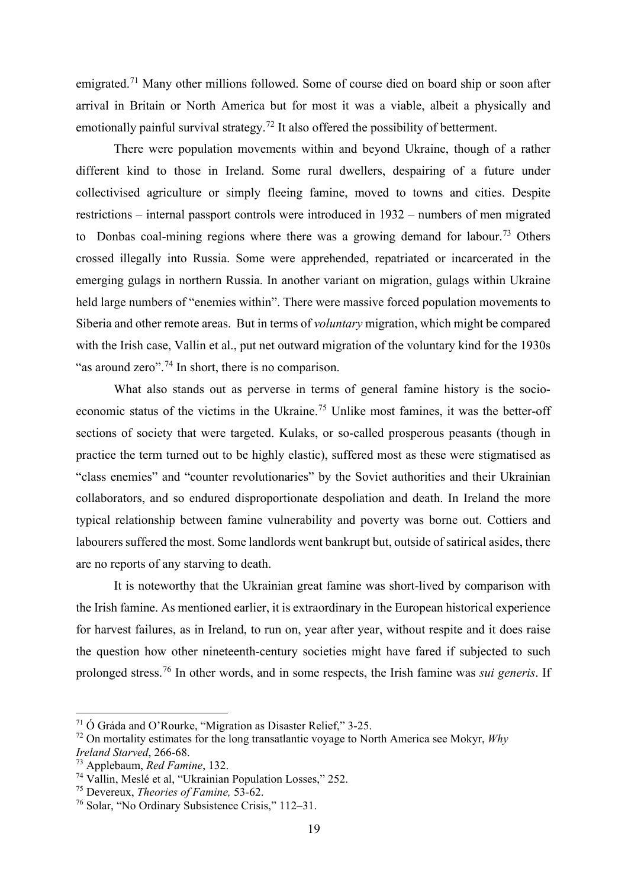emigrated.<sup>[71](#page-19-0)</sup> Many other millions followed. Some of course died on board ship or soon after arrival in Britain or North America but for most it was a viable, albeit a physically and emotionally painful survival strategy.<sup>[72](#page-19-1)</sup> It also offered the possibility of betterment.

There were population movements within and beyond Ukraine, though of a rather different kind to those in Ireland. Some rural dwellers, despairing of a future under collectivised agriculture or simply fleeing famine, moved to towns and cities. Despite restrictions – internal passport controls were introduced in 1932 – numbers of men migrated to Donbas coal-mining regions where there was a growing demand for labour.<sup>[73](#page-19-2)</sup> Others crossed illegally into Russia. Some were apprehended, repatriated or incarcerated in the emerging gulags in northern Russia. In another variant on migration, gulags within Ukraine held large numbers of "enemies within". There were massive forced population movements to Siberia and other remote areas. But in terms of *voluntary* migration, which might be compared with the Irish case, Vallin et al., put net outward migration of the voluntary kind for the 1930s "as around zero".<sup>[74](#page-19-3)</sup> In short, there is no comparison.

What also stands out as perverse in terms of general famine history is the socioeconomic status of the victims in the Ukraine.[75](#page-19-4) Unlike most famines, it was the better-off sections of society that were targeted. Kulaks, or so-called prosperous peasants (though in practice the term turned out to be highly elastic), suffered most as these were stigmatised as "class enemies" and "counter revolutionaries" by the Soviet authorities and their Ukrainian collaborators, and so endured disproportionate despoliation and death. In Ireland the more typical relationship between famine vulnerability and poverty was borne out. Cottiers and labourers suffered the most. Some landlords went bankrupt but, outside of satirical asides, there are no reports of any starving to death.

It is noteworthy that the Ukrainian great famine was short-lived by comparison with the Irish famine. As mentioned earlier, it is extraordinary in the European historical experience for harvest failures, as in Ireland, to run on, year after year, without respite and it does raise the question how other nineteenth-century societies might have fared if subjected to such prolonged stress.[76](#page-19-5) In other words, and in some respects, the Irish famine was *sui generis*. If

<span id="page-19-0"></span><sup>71</sup> Ó Gráda and O'Rourke, "Migration as Disaster Relief," 3-25.

<span id="page-19-1"></span><sup>72</sup> On mortality estimates for the long transatlantic voyage to North America see Mokyr, *Why Ireland Starved*, 266-68.

<span id="page-19-2"></span><sup>73</sup> Applebaum, *Red Famine*, 132.

<span id="page-19-3"></span><sup>74</sup> Vallin, Meslé et al, "Ukrainian Population Losses," 252.

<span id="page-19-4"></span><sup>75</sup> Devereux, *Theories of Famine,* 53-62.

<span id="page-19-5"></span><sup>76</sup> Solar, "No Ordinary Subsistence Crisis," 112–31.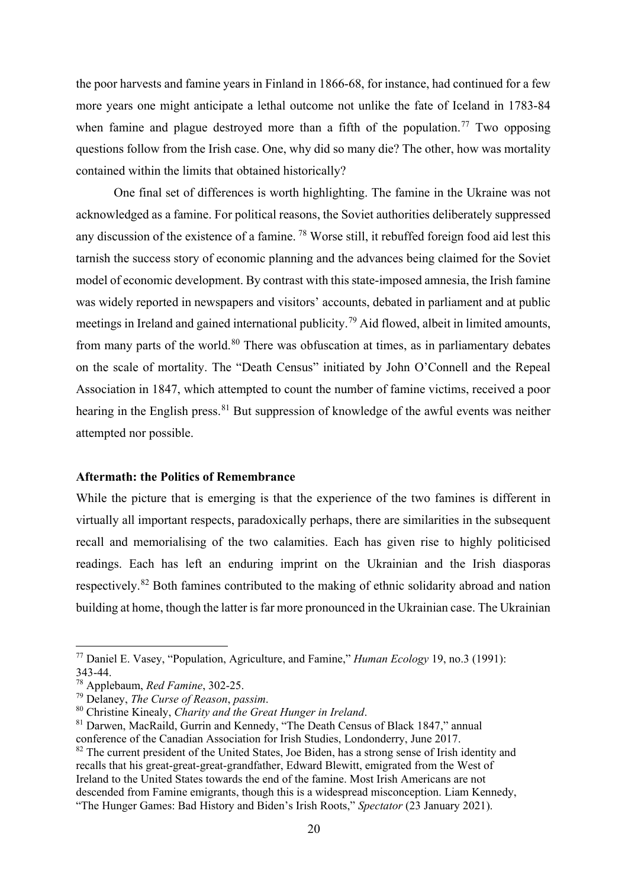the poor harvests and famine years in Finland in 1866-68, for instance, had continued for a few more years one might anticipate a lethal outcome not unlike the fate of Iceland in 1783-84 when famine and plague destroyed more than a fifth of the population.<sup>[77](#page-20-0)</sup> Two opposing questions follow from the Irish case. One, why did so many die? The other, how was mortality contained within the limits that obtained historically?

One final set of differences is worth highlighting. The famine in the Ukraine was not acknowledged as a famine. For political reasons, the Soviet authorities deliberately suppressed any discussion of the existence of a famine. [78](#page-20-1) Worse still, it rebuffed foreign food aid lest this tarnish the success story of economic planning and the advances being claimed for the Soviet model of economic development. By contrast with this state-imposed amnesia, the Irish famine was widely reported in newspapers and visitors' accounts, debated in parliament and at public meetings in Ireland and gained international publicity.<sup>[79](#page-20-2)</sup> Aid flowed, albeit in limited amounts, from many parts of the world.<sup>[80](#page-20-3)</sup> There was obfuscation at times, as in parliamentary debates on the scale of mortality. The "Death Census" initiated by John O'Connell and the Repeal Association in 1847, which attempted to count the number of famine victims, received a poor hearing in the English press.<sup>[81](#page-20-4)</sup> But suppression of knowledge of the awful events was neither attempted nor possible.

### **Aftermath: the Politics of Remembrance**

While the picture that is emerging is that the experience of the two famines is different in virtually all important respects, paradoxically perhaps, there are similarities in the subsequent recall and memorialising of the two calamities. Each has given rise to highly politicised readings. Each has left an enduring imprint on the Ukrainian and the Irish diasporas respectively.[82](#page-20-5) Both famines contributed to the making of ethnic solidarity abroad and nation building at home, though the latter is far more pronounced in the Ukrainian case. The Ukrainian

<span id="page-20-0"></span><sup>77</sup> Daniel E. Vasey, "Population, Agriculture, and Famine," *Human Ecology* 19, no.3 (1991): 343-44.

<span id="page-20-1"></span><sup>78</sup> Applebaum, *Red Famine*, 302-25.

<span id="page-20-2"></span><sup>79</sup> Delaney, *The Curse of Reason*, *passim*.

<span id="page-20-3"></span><sup>80</sup> Christine Kinealy, *Charity and the Great Hunger in Ireland*.

<span id="page-20-4"></span><sup>81</sup> Darwen, MacRaild, Gurrin and Kennedy, "The Death Census of Black 1847," annual conference of the Canadian Association for Irish Studies, Londonderry, June 2017.

<span id="page-20-5"></span><sup>&</sup>lt;sup>82</sup> The current president of the United States, Joe Biden, has a strong sense of Irish identity and recalls that his great-great-great-grandfather, Edward Blewitt, emigrated from the West of Ireland to the United States towards the end of the famine. Most Irish Americans are not descended from Famine emigrants, though this is a widespread misconception. Liam Kennedy, "The Hunger Games: Bad History and Biden's Irish Roots," *Spectator* (23 January 2021).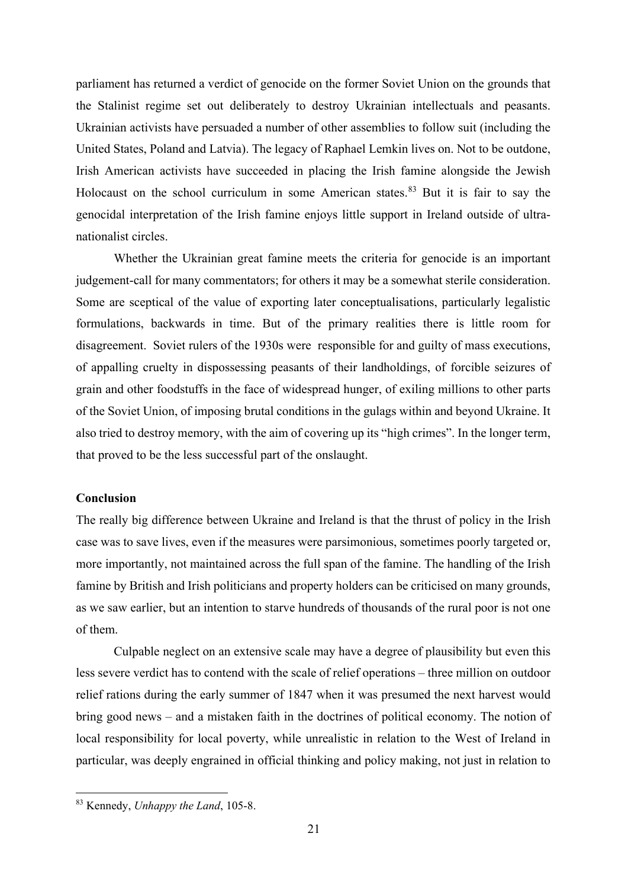parliament has returned a verdict of genocide on the former Soviet Union on the grounds that the Stalinist regime set out deliberately to destroy Ukrainian intellectuals and peasants. Ukrainian activists have persuaded a number of other assemblies to follow suit (including the United States, Poland and Latvia). The legacy of Raphael Lemkin lives on. Not to be outdone, Irish American activists have succeeded in placing the Irish famine alongside the Jewish Holocaust on the school curriculum in some American states.<sup>[83](#page-21-0)</sup> But it is fair to say the genocidal interpretation of the Irish famine enjoys little support in Ireland outside of ultranationalist circles.

Whether the Ukrainian great famine meets the criteria for genocide is an important judgement-call for many commentators; for others it may be a somewhat sterile consideration. Some are sceptical of the value of exporting later conceptualisations, particularly legalistic formulations, backwards in time. But of the primary realities there is little room for disagreement. Soviet rulers of the 1930s were responsible for and guilty of mass executions, of appalling cruelty in dispossessing peasants of their landholdings, of forcible seizures of grain and other foodstuffs in the face of widespread hunger, of exiling millions to other parts of the Soviet Union, of imposing brutal conditions in the gulags within and beyond Ukraine. It also tried to destroy memory, with the aim of covering up its "high crimes". In the longer term, that proved to be the less successful part of the onslaught.

## **Conclusion**

The really big difference between Ukraine and Ireland is that the thrust of policy in the Irish case was to save lives, even if the measures were parsimonious, sometimes poorly targeted or, more importantly, not maintained across the full span of the famine. The handling of the Irish famine by British and Irish politicians and property holders can be criticised on many grounds, as we saw earlier, but an intention to starve hundreds of thousands of the rural poor is not one of them.

Culpable neglect on an extensive scale may have a degree of plausibility but even this less severe verdict has to contend with the scale of relief operations – three million on outdoor relief rations during the early summer of 1847 when it was presumed the next harvest would bring good news – and a mistaken faith in the doctrines of political economy. The notion of local responsibility for local poverty, while unrealistic in relation to the West of Ireland in particular, was deeply engrained in official thinking and policy making, not just in relation to

<span id="page-21-0"></span><sup>83</sup> Kennedy, *Unhappy the Land*, 105-8.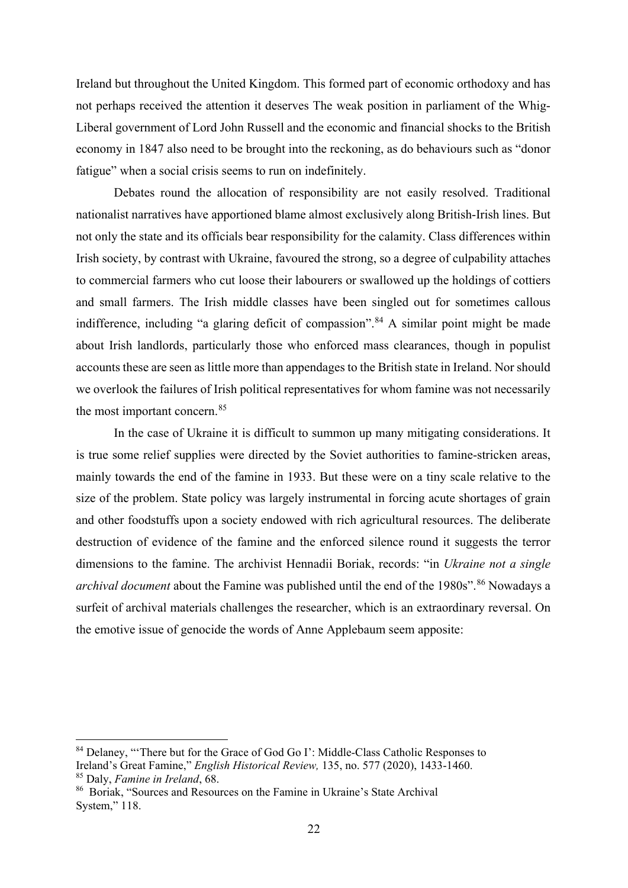Ireland but throughout the United Kingdom. This formed part of economic orthodoxy and has not perhaps received the attention it deserves The weak position in parliament of the Whig-Liberal government of Lord John Russell and the economic and financial shocks to the British economy in 1847 also need to be brought into the reckoning, as do behaviours such as "donor fatigue" when a social crisis seems to run on indefinitely.

Debates round the allocation of responsibility are not easily resolved. Traditional nationalist narratives have apportioned blame almost exclusively along British-Irish lines. But not only the state and its officials bear responsibility for the calamity. Class differences within Irish society, by contrast with Ukraine, favoured the strong, so a degree of culpability attaches to commercial farmers who cut loose their labourers or swallowed up the holdings of cottiers and small farmers. The Irish middle classes have been singled out for sometimes callous indifference, including "a glaring deficit of compassion".<sup>[84](#page-22-0)</sup> A similar point might be made about Irish landlords, particularly those who enforced mass clearances, though in populist accounts these are seen as little more than appendages to the British state in Ireland. Nor should we overlook the failures of Irish political representatives for whom famine was not necessarily the most important concern.<sup>[85](#page-22-1)</sup>

In the case of Ukraine it is difficult to summon up many mitigating considerations. It is true some relief supplies were directed by the Soviet authorities to famine-stricken areas, mainly towards the end of the famine in 1933. But these were on a tiny scale relative to the size of the problem. State policy was largely instrumental in forcing acute shortages of grain and other foodstuffs upon a society endowed with rich agricultural resources. The deliberate destruction of evidence of the famine and the enforced silence round it suggests the terror dimensions to the famine. The archivist Hennadii Boriak, records: "in *Ukraine not a single archival document* about the Famine was published until the end of the 1980s".<sup>[86](#page-22-2)</sup> Nowadays a surfeit of archival materials challenges the researcher, which is an extraordinary reversal. On the emotive issue of genocide the words of Anne Applebaum seem apposite:

<span id="page-22-0"></span><sup>&</sup>lt;sup>84</sup> Delaney, "There but for the Grace of God Go I': Middle-Class Catholic Responses to Ireland's Great Famine," *English Historical Review,* 135, no. 577 (2020), 1433-1460. <sup>85</sup> Daly, *Famine in Ireland*, 68.

<span id="page-22-2"></span><span id="page-22-1"></span><sup>86</sup> Boriak, "Sources and Resources on the Famine in Ukraine's State Archival System," 118.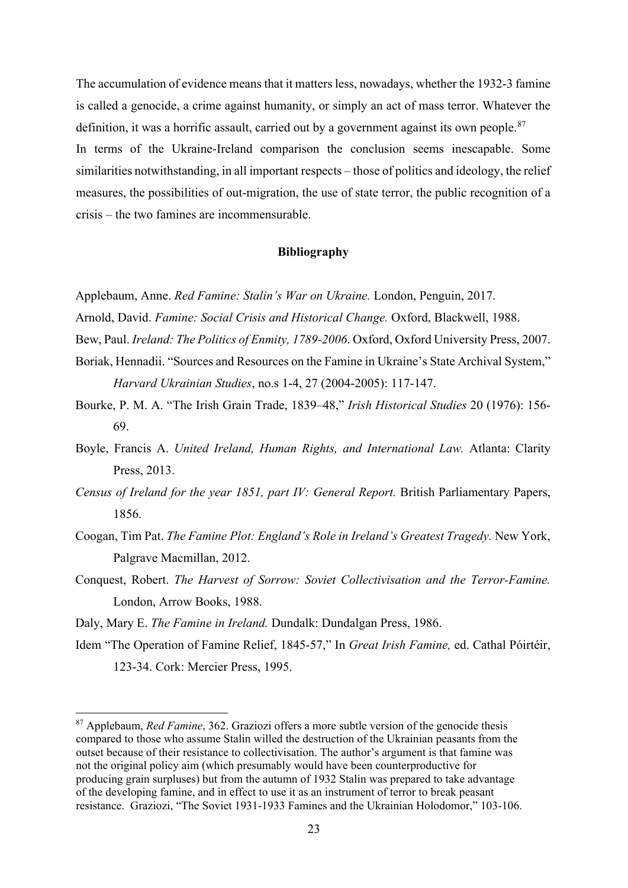The accumulation of evidence means that it matters less, nowadays, whether the 1932-3 famine is called a genocide, a crime against humanity, or simply an act of mass terror. Whatever the definition, it was a horrific assault, carried out by a government against its own people. $87$ In terms of the Ukraine-Ireland comparison the conclusion seems inescapable. Some similarities notwithstanding, in all important respects – those of politics and ideology, the relief measures, the possibilities of out-migration, the use of state terror, the public recognition of a crisis – the two famines are incommensurable.

#### **Bibliography**

Applebaum, Anne. *Red Famine: Stalin's War on Ukraine.* London, Penguin, 2017.

Arnold, David. *Famine: Social Crisis and Historical Change.* Oxford, Blackwell, 1988.

Bew, Paul. *Ireland: The Politics of Enmity, 1789-2006*. Oxford, Oxford University Press, 2007.

- Boriak, Hennadii. "Sources and Resources on the Famine in Ukraine's State Archival System," *Harvard Ukrainian Studies*, no.s 1-4, 27 (2004-2005): 117-147.
- Bourke, P. M. A. "The Irish Grain Trade, 1839–48," *Irish Historical Studies* 20 (1976): 156- 69.
- Boyle, Francis A. *United Ireland, Human Rights, and International Law.* Atlanta: Clarity Press, 2013.
- *Census of Ireland for the year 1851, part IV: General Report.* British Parliamentary Papers, 1856.
- Coogan, Tim Pat. *The Famine Plot: England's Role in Ireland's Greatest Tragedy.* New York, Palgrave Macmillan, 2012.
- Conquest, Robert. *The Harvest of Sorrow: Soviet Collectivisation and the Terror-Famine.* London, Arrow Books, 1988.

Daly, Mary E. *The Famine in Ireland.* Dundalk: Dundalgan Press, 1986.

Idem "The Operation of Famine Relief, 1845-57," In *Great Irish Famine,* ed. Cathal Póirtéir, 123-34. Cork: Mercier Press, 1995.

<span id="page-23-0"></span><sup>87</sup> Applebaum, *Red Famine*, 362. Graziozi offers a more subtle version of the genocide thesis compared to those who assume Stalin willed the destruction of the Ukrainian peasants from the outset because of their resistance to collectivisation. The author's argument is that famine was not the original policy aim (which presumably would have been counterproductive for producing grain surpluses) but from the autumn of 1932 Stalin was prepared to take advantage of the developing famine, and in effect to use it as an instrument of terror to break peasant resistance. Graziozi, "The Soviet 1931-1933 Famines and the Ukrainian Holodomor," 103-106.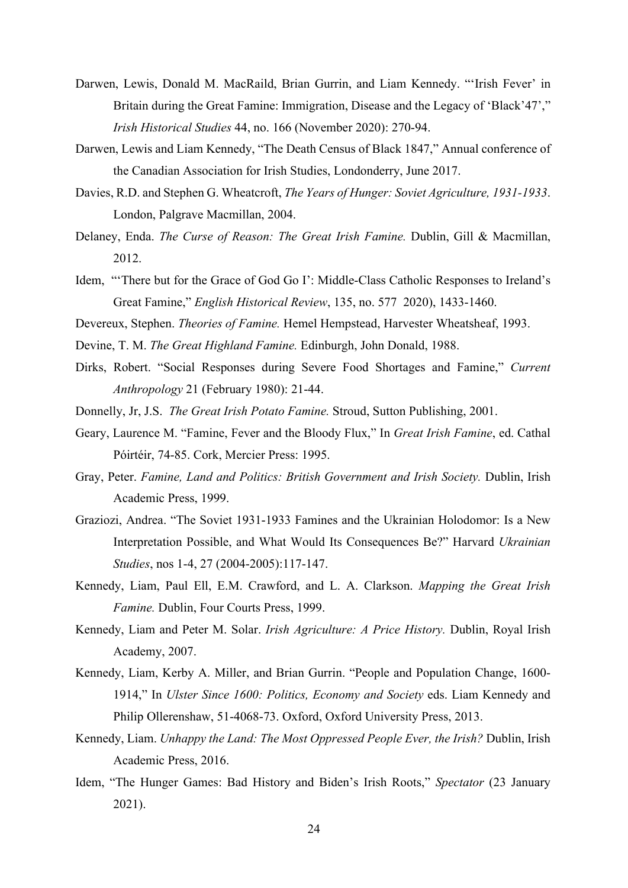- Darwen, Lewis, Donald M. MacRaild, Brian Gurrin, and Liam Kennedy. "'Irish Fever' in Britain during the Great Famine: Immigration, Disease and the Legacy of 'Black'47'," *Irish Historical Studies* 44, no. 166 (November 2020): 270-94.
- Darwen, Lewis and Liam Kennedy, "The Death Census of Black 1847," Annual conference of the Canadian Association for Irish Studies, Londonderry, June 2017.
- Davies, R.D. and Stephen G. Wheatcroft, *The Years of Hunger: Soviet Agriculture, 1931-1933*. London, Palgrave Macmillan, 2004.
- Delaney, Enda. *The Curse of Reason: The Great Irish Famine.* Dublin, Gill & Macmillan, 2012.
- Idem, "'There but for the Grace of God Go I': Middle-Class Catholic Responses to Ireland's Great Famine," *English Historical Review*, 135, no. 577 2020), 1433-1460.
- Devereux, Stephen. *Theories of Famine.* Hemel Hempstead, Harvester Wheatsheaf, 1993.
- Devine, T. M. *The Great Highland Famine.* Edinburgh, John Donald, 1988.
- Dirks, Robert. "Social Responses during Severe Food Shortages and Famine," *Current Anthropology* 21 (February 1980): 21-44.
- Donnelly, Jr, J.S. *The Great Irish Potato Famine.* Stroud, Sutton Publishing, 2001.
- Geary, Laurence M. "Famine, Fever and the Bloody Flux," In *Great Irish Famine*, ed. Cathal Póirtéir, 74-85. Cork, Mercier Press: 1995.
- Gray, Peter. *Famine, Land and Politics: British Government and Irish Society.* Dublin, Irish Academic Press, 1999.
- Graziozi, Andrea. "The Soviet 1931-1933 Famines and the Ukrainian Holodomor: Is a New Interpretation Possible, and What Would Its Consequences Be?" Harvard *Ukrainian Studies*, nos 1-4, 27 (2004-2005):117-147.
- Kennedy, Liam, Paul Ell, E.M. Crawford, and L. A. Clarkson. *Mapping the Great Irish Famine.* Dublin, Four Courts Press, 1999.
- Kennedy, Liam and Peter M. Solar. *Irish Agriculture: A Price History.* Dublin, Royal Irish Academy, 2007.
- Kennedy, Liam, Kerby A. Miller, and Brian Gurrin. "People and Population Change, 1600- 1914," In *Ulster Since 1600: Politics, Economy and Society* eds. Liam Kennedy and Philip Ollerenshaw, 51-4068-73. Oxford, Oxford University Press, 2013.
- Kennedy, Liam. *Unhappy the Land: The Most Oppressed People Ever, the Irish?* Dublin, Irish Academic Press, 2016.
- Idem, "The Hunger Games: Bad History and Biden's Irish Roots," *Spectator* (23 January 2021).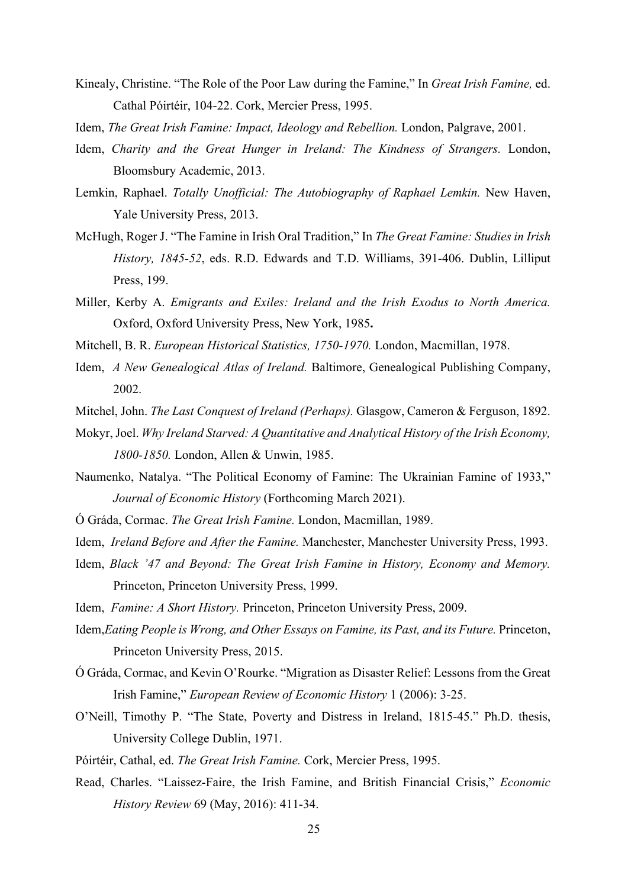- Kinealy, Christine. "The Role of the Poor Law during the Famine," In *Great Irish Famine,* ed. Cathal Póirtéir, 104-22. Cork, Mercier Press, 1995.
- Idem, *The Great Irish Famine: Impact, Ideology and Rebellion.* London, Palgrave, 2001.
- Idem, *Charity and the Great Hunger in Ireland: The Kindness of Strangers.* London, Bloomsbury Academic, 2013.
- Lemkin, Raphael. *Totally Unofficial: The Autobiography of Raphael Lemkin.* New Haven, Yale University Press, 2013.
- McHugh, Roger J. "The Famine in Irish Oral Tradition," In *The Great Famine: Studies in Irish History, 1845-52*, eds. R.D. Edwards and T.D. Williams, 391-406. Dublin, Lilliput Press, 199.
- Miller, Kerby A. *Emigrants and Exiles: Ireland and the Irish Exodus to North America.* Oxford, Oxford University Press, New York, 1985**.**
- Mitchell, B. R. *European Historical Statistics, 1750-1970.* London, Macmillan, 1978.
- Idem, *A New Genealogical Atlas of Ireland.* Baltimore, Genealogical Publishing Company, 2002.
- Mitchel, John. *The Last Conquest of Ireland (Perhaps).* Glasgow, Cameron & Ferguson, 1892.
- Mokyr, Joel. *Why Ireland Starved: A Quantitative and Analytical History of the Irish Economy, 1800-1850.* London, Allen & Unwin, 1985.
- Naumenko, Natalya. "The Political Economy of Famine: The Ukrainian Famine of 1933," *Journal of Economic History* (Forthcoming March 2021).
- Ó Gráda, Cormac. *The Great Irish Famine.* London, Macmillan, 1989.
- Idem, *Ireland Before and After the Famine.* Manchester, Manchester University Press, 1993.
- Idem, *Black '47 and Beyond: The Great Irish Famine in History, Economy and Memory.* Princeton, Princeton University Press, 1999.
- Idem, *Famine: A Short History*. Princeton, Princeton University Press, 2009.
- Idem,*Eating People is Wrong, and Other Essays on Famine, its Past, and its Future.* Princeton, Princeton University Press, 2015.
- Ó Gráda, Cormac, and Kevin O'Rourke. "Migration as Disaster Relief: Lessons from the Great Irish Famine," *European Review of Economic History* 1 (2006): 3-25.
- O'Neill, Timothy P. "The State, Poverty and Distress in Ireland, 1815-45." Ph.D. thesis, University College Dublin, 1971.
- Póirtéir, Cathal, ed. *The Great Irish Famine.* Cork, Mercier Press, 1995.
- Read, Charles. "Laissez-Faire, the Irish Famine, and British Financial Crisis," *Economic History Review* 69 (May, 2016): 411-34.